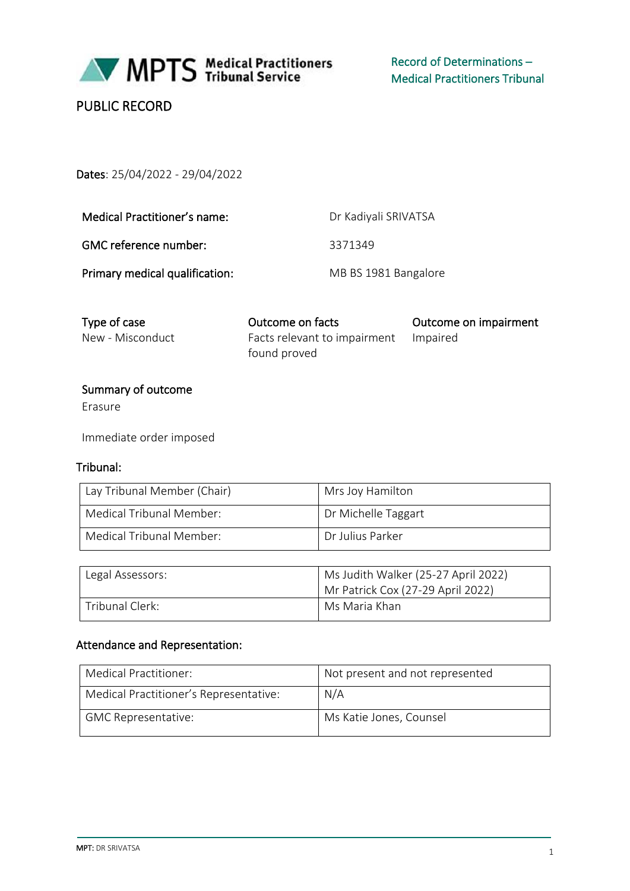

# PUBLIC RECORD

Dates: 25/04/2022 - 29/04/2022

| Medical Practitioner's name:   | Dr Kadiyali SRIVATSA |
|--------------------------------|----------------------|
| GMC reference number:          | 3371349              |
| Primary medical qualification: | MB BS 1981 Bangalore |

| Type of case     | Outcome on facts                      | Outcome on impairment |
|------------------|---------------------------------------|-----------------------|
| New - Misconduct | Facts relevant to impairment Impaired |                       |
|                  | found proved                          |                       |

# Summary of outcome

Erasure

Immediate order imposed

#### Tribunal:

| Lay Tribunal Member (Chair) | Mrs Joy Hamilton    |
|-----------------------------|---------------------|
| Medical Tribunal Member:    | Dr Michelle Taggart |
| Medical Tribunal Member:    | - Dr Julius Parker  |

| Legal Assessors: | Ms Judith Walker (25-27 April 2022) |
|------------------|-------------------------------------|
|                  | Mr Patrick Cox (27-29 April 2022)   |
| Tribunal Clerk:  | Ms Maria Khan                       |

# Attendance and Representation:

| Medical Practitioner:                  | Not present and not represented |
|----------------------------------------|---------------------------------|
| Medical Practitioner's Representative: | N/A                             |
| <b>GMC Representative:</b>             | Ms Katie Jones, Counsel         |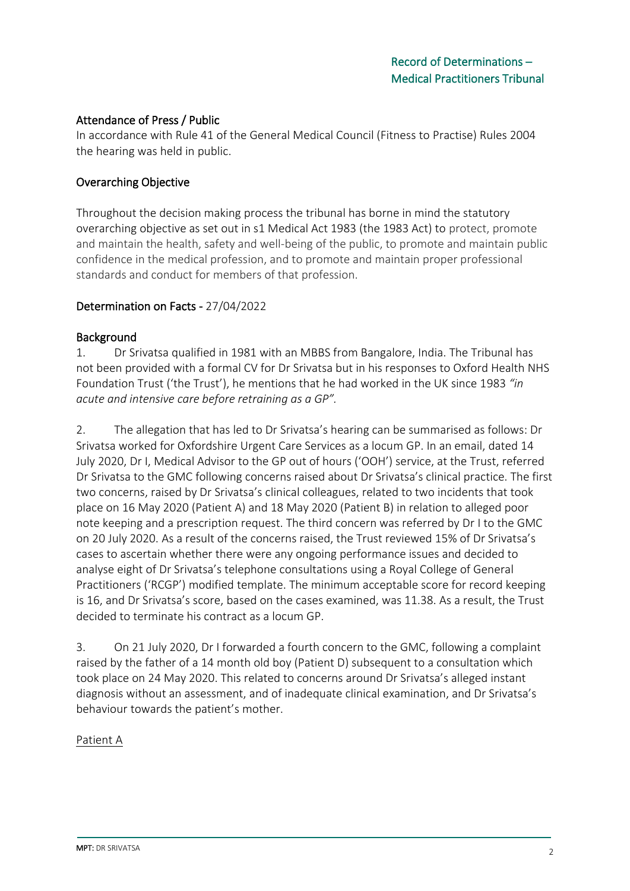# Attendance of Press / Public

In accordance with Rule 41 of the General Medical Council (Fitness to Practise) Rules 2004 the hearing was held in public.

#### Overarching Objective

Throughout the decision making process the tribunal has borne in mind the statutory overarching objective as set out in s1 Medical Act 1983 (the 1983 Act) to protect, promote and maintain the health, safety and well-being of the public, to promote and maintain public confidence in the medical profession, and to promote and maintain proper professional standards and conduct for members of that profession.

#### Determination on Facts - 27/04/2022

#### Background

1. Dr Srivatsa qualified in 1981 with an MBBS from Bangalore, India. The Tribunal has not been provided with a formal CV for Dr Srivatsa but in his responses to Oxford Health NHS Foundation Trust ('the Trust'), he mentions that he had worked in the UK since 1983 *"in acute and intensive care before retraining as a GP".*

2. The allegation that has led to Dr Srivatsa's hearing can be summarised as follows: Dr Srivatsa worked for Oxfordshire Urgent Care Services as a locum GP. In an email, dated 14 July 2020, Dr I, Medical Advisor to the GP out of hours ('OOH') service, at the Trust, referred Dr Srivatsa to the GMC following concerns raised about Dr Srivatsa's clinical practice. The first two concerns, raised by Dr Srivatsa's clinical colleagues, related to two incidents that took place on 16 May 2020 (Patient A) and 18 May 2020 (Patient B) in relation to alleged poor note keeping and a prescription request. The third concern was referred by Dr I to the GMC on 20 July 2020. As a result of the concerns raised, the Trust reviewed 15% of Dr Srivatsa's cases to ascertain whether there were any ongoing performance issues and decided to analyse eight of Dr Srivatsa's telephone consultations using a Royal College of General Practitioners ('RCGP') modified template. The minimum acceptable score for record keeping is 16, and Dr Srivatsa's score, based on the cases examined, was 11.38. As a result, the Trust decided to terminate his contract as a locum GP.

3. On 21 July 2020, Dr I forwarded a fourth concern to the GMC, following a complaint raised by the father of a 14 month old boy (Patient D) subsequent to a consultation which took place on 24 May 2020. This related to concerns around Dr Srivatsa's alleged instant diagnosis without an assessment, and of inadequate clinical examination, and Dr Srivatsa's behaviour towards the patient's mother.

#### Patient A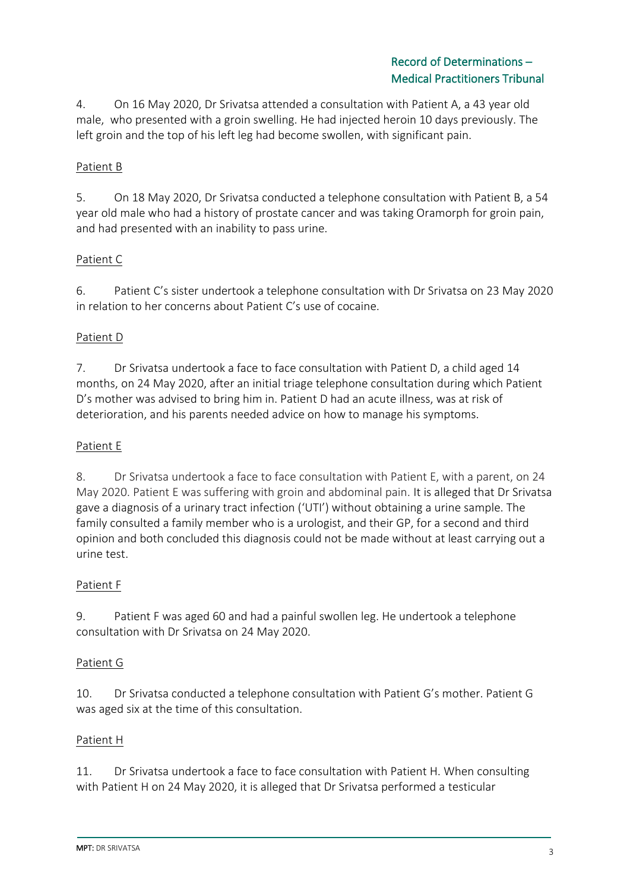4. On 16 May 2020, Dr Srivatsa attended a consultation with Patient A, a 43 year old male, who presented with a groin swelling. He had injected heroin 10 days previously. The left groin and the top of his left leg had become swollen, with significant pain.

# Patient B

5. On 18 May 2020, Dr Srivatsa conducted a telephone consultation with Patient B, a 54 year old male who had a history of prostate cancer and was taking Oramorph for groin pain, and had presented with an inability to pass urine.

# Patient C

6. Patient C's sister undertook a telephone consultation with Dr Srivatsa on 23 May 2020 in relation to her concerns about Patient C's use of cocaine.

# Patient D

7. Dr Srivatsa undertook a face to face consultation with Patient D, a child aged 14 months, on 24 May 2020, after an initial triage telephone consultation during which Patient D's mother was advised to bring him in. Patient D had an acute illness, was at risk of deterioration, and his parents needed advice on how to manage his symptoms.

# Patient E

8. Dr Srivatsa undertook a face to face consultation with Patient E, with a parent, on 24 May 2020. Patient E was suffering with groin and abdominal pain. It is alleged that Dr Srivatsa gave a diagnosis of a urinary tract infection ('UTI') without obtaining a urine sample. The family consulted a family member who is a urologist, and their GP, for a second and third opinion and both concluded this diagnosis could not be made without at least carrying out a urine test.

# Patient F

9. Patient F was aged 60 and had a painful swollen leg. He undertook a telephone consultation with Dr Srivatsa on 24 May 2020.

# Patient G

10. Dr Srivatsa conducted a telephone consultation with Patient G's mother. Patient G was aged six at the time of this consultation.

# Patient H

11. Dr Srivatsa undertook a face to face consultation with Patient H. When consulting with Patient H on 24 May 2020, it is alleged that Dr Srivatsa performed a testicular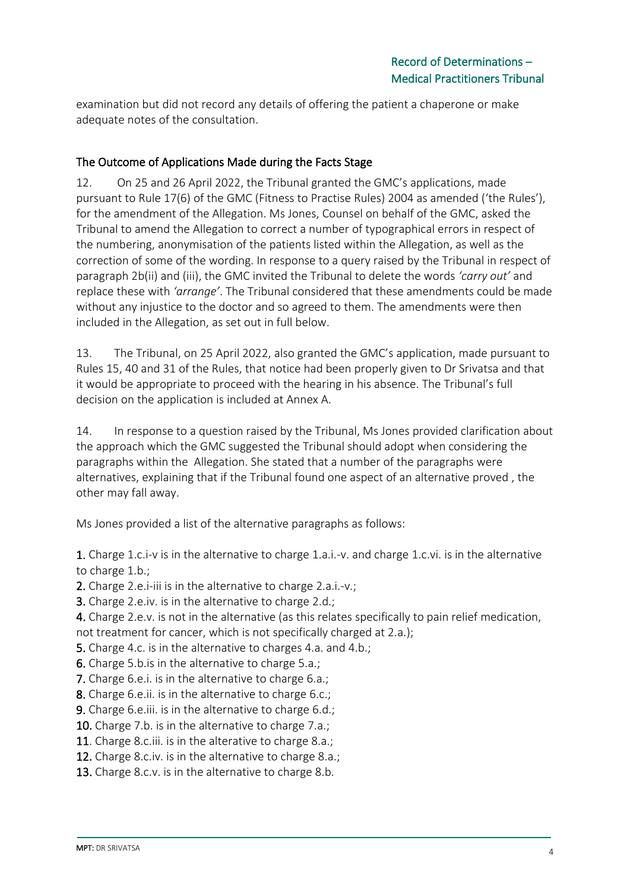examination but did not record any details of offering the patient a chaperone or make adequate notes of the consultation.

# The Outcome of Applications Made during the Facts Stage

12. On 25 and 26 April 2022, the Tribunal granted the GMC's applications, made pursuant to Rule 17(6) of the GMC (Fitness to Practise Rules) 2004 as amended ('the Rules'), for the amendment of the Allegation. Ms Jones, Counsel on behalf of the GMC, asked the Tribunal to amend the Allegation to correct a number of typographical errors in respect of the numbering, anonymisation of the patients listed within the Allegation, as well as the correction of some of the wording. In response to a query raised by the Tribunal in respect of paragraph 2b(ii) and (iii), the GMC invited the Tribunal to delete the words *'carry out'* and replace these with *'arrange'*. The Tribunal considered that these amendments could be made without any injustice to the doctor and so agreed to them. The amendments were then included in the Allegation, as set out in full below.

13. The Tribunal, on 25 April 2022, also granted the GMC's application, made pursuant to Rules 15, 40 and 31 of the Rules, that notice had been properly given to Dr Srivatsa and that it would be appropriate to proceed with the hearing in his absence. The Tribunal's full decision on the application is included at Annex A.

14. In response to a question raised by the Tribunal, Ms Jones provided clarification about the approach which the GMC suggested the Tribunal should adopt when considering the paragraphs within the Allegation. She stated that a number of the paragraphs were alternatives, explaining that if the Tribunal found one aspect of an alternative proved , the other may fall away.

Ms Jones provided a list of the alternative paragraphs as follows:

1. Charge 1.c.i-v is in the alternative to charge 1.a.i.-v. and charge 1.c.vi. is in the alternative to charge 1.b.;

2. Charge 2.e.i‐iii is in the alternative to charge 2.a.i.‐v.;

3. Charge 2.e.iv. is in the alternative to charge 2.d.;

4. Charge 2.e.v. is not in the alternative (as this relates specifically to pain relief medication, not treatment for cancer, which is not specifically charged at 2.a.);

5. Charge 4.c. is in the alternative to charges 4.a. and 4.b.;

6. Charge 5.b.is in the alternative to charge 5.a.;

7. Charge 6.e.i. is in the alternative to charge 6.a.;

8. Charge 6.e.ii. is in the alternative to charge 6.c.;

9. Charge 6.e.iii. is in the alternative to charge 6.d.;

10. Charge 7.b. is in the alternative to charge 7.a.;

11. Charge 8.c.iii. is in the alterative to charge 8.a.;

12. Charge 8.c.iv. is in the alternative to charge 8.a.;

13. Charge 8.c.v. is in the alternative to charge 8.b.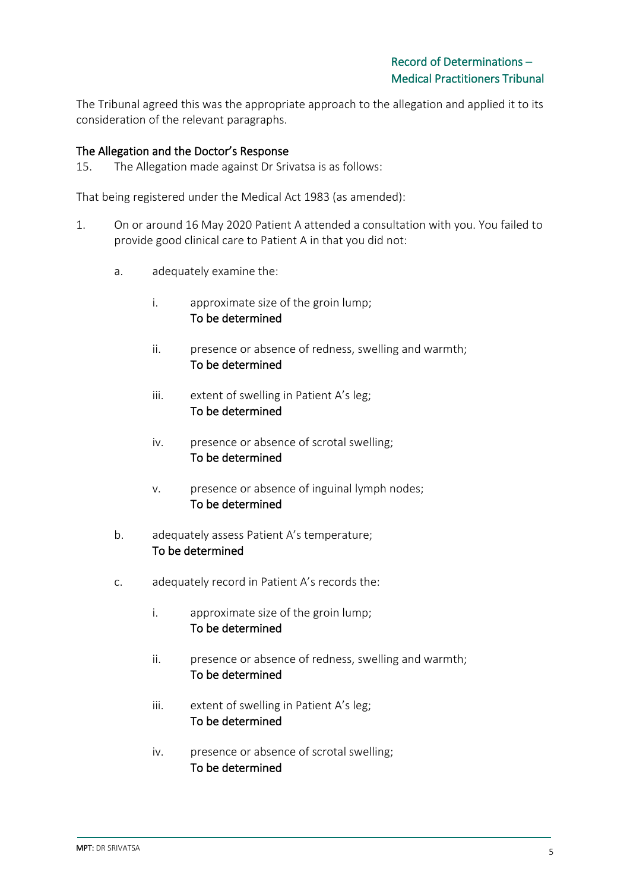The Tribunal agreed this was the appropriate approach to the allegation and applied it to its consideration of the relevant paragraphs.

#### The Allegation and the Doctor's Response

15. The Allegation made against Dr Srivatsa is as follows:

That being registered under the Medical Act 1983 (as amended):

- 1. On or around 16 May 2020 Patient A attended a consultation with you. You failed to provide good clinical care to Patient A in that you did not:
	- a. adequately examine the:
		- i. approximate size of the groin lump; To be determined
		- ii. presence or absence of redness, swelling and warmth; To be determined
		- iii. extent of swelling in Patient A's leg; To be determined
		- iv. presence or absence of scrotal swelling; To be determined
		- v. presence or absence of inguinal lymph nodes; To be determined
	- b. adequately assess Patient A's temperature; To be determined
	- c. adequately record in Patient A's records the:
		- i. approximate size of the groin lump; To be determined
		- ii. presence or absence of redness, swelling and warmth; To be determined
		- iii. extent of swelling in Patient A's leg; To be determined
		- iv. presence or absence of scrotal swelling; To be determined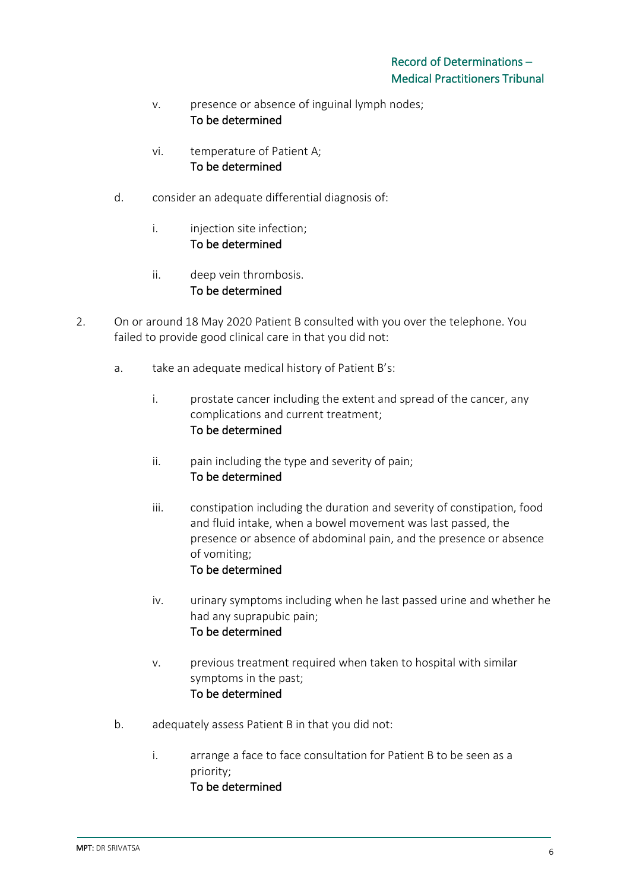- v. presence or absence of inguinal lymph nodes; To be determined
- vi. temperature of Patient A; To be determined
- d. consider an adequate differential diagnosis of:
	- i. injection site infection: To be determined
	- ii. deep vein thrombosis. To be determined
- 2. On or around 18 May 2020 Patient B consulted with you over the telephone. You failed to provide good clinical care in that you did not:
	- a. take an adequate medical history of Patient B's:
		- i. prostate cancer including the extent and spread of the cancer, any complications and current treatment; To be determined
		- ii. pain including the type and severity of pain; To be determined
		- iii. constipation including the duration and severity of constipation, food and fluid intake, when a bowel movement was last passed, the presence or absence of abdominal pain, and the presence or absence of vomiting; To be determined
		- iv. urinary symptoms including when he last passed urine and whether he had any suprapubic pain; To be determined
		- v. previous treatment required when taken to hospital with similar symptoms in the past; To be determined
	- b. adequately assess Patient B in that you did not:
		- i. arrange a face to face consultation for Patient B to be seen as a priority; To be determined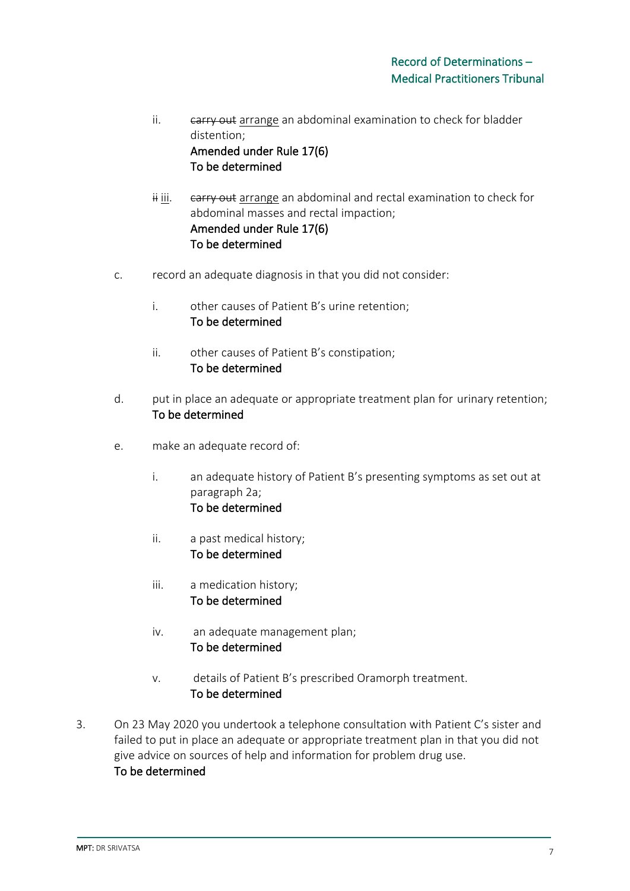- ii. earry out arrange an abdominal examination to check for bladder distention; Amended under Rule 17(6) To be determined
- iiii. earry out arrange an abdominal and rectal examination to check for abdominal masses and rectal impaction; Amended under Rule 17(6) To be determined
- c. record an adequate diagnosis in that you did not consider:
	- i. other causes of Patient B's urine retention; To be determined
	- ii. other causes of Patient B's constipation; To be determined
- d. put in place an adequate or appropriate treatment plan for urinary retention; To be determined
- e. make an adequate record of:
	- i. an adequate history of Patient B's presenting symptoms as set out at paragraph 2a; To be determined
	- ii. a past medical history; To be determined
	- iii. a medication history; To be determined
	- iv. an adequate management plan; To be determined
	- v. details of Patient B's prescribed Oramorph treatment. To be determined
- 3. On 23 May 2020 you undertook a telephone consultation with Patient C's sister and failed to put in place an adequate or appropriate treatment plan in that you did not give advice on sources of help and information for problem drug use. To be determined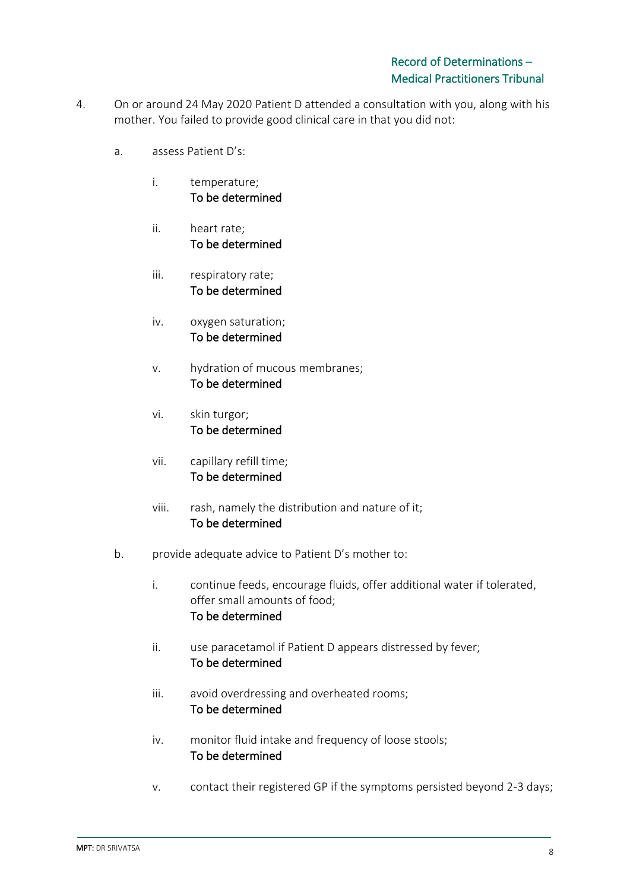- 4. On or around 24 May 2020 Patient D attended a consultation with you, along with his mother. You failed to provide good clinical care in that you did not:
	- a. assess Patient D's:
		- i. temperature; To be determined
		- ii. heart rate; To be determined
		- iii. respiratory rate; To be determined
		- iv. oxygen saturation; To be determined
		- v. hydration of mucous membranes; To be determined
		- vi. skin turgor; To be determined
		- vii. capillary refill time; To be determined
		- viii. rash, namely the distribution and nature of it; To be determined
	- b. provide adequate advice to Patient D's mother to:
		- i. continue feeds, encourage fluids, offer additional water if tolerated, offer small amounts of food; To be determined
		- ii. use paracetamol if Patient D appears distressed by fever; To be determined
		- iii. avoid overdressing and overheated rooms; To be determined
		- iv. monitor fluid intake and frequency of loose stools; To be determined
		- v. contact their registered GP if the symptoms persisted beyond 2-3 days;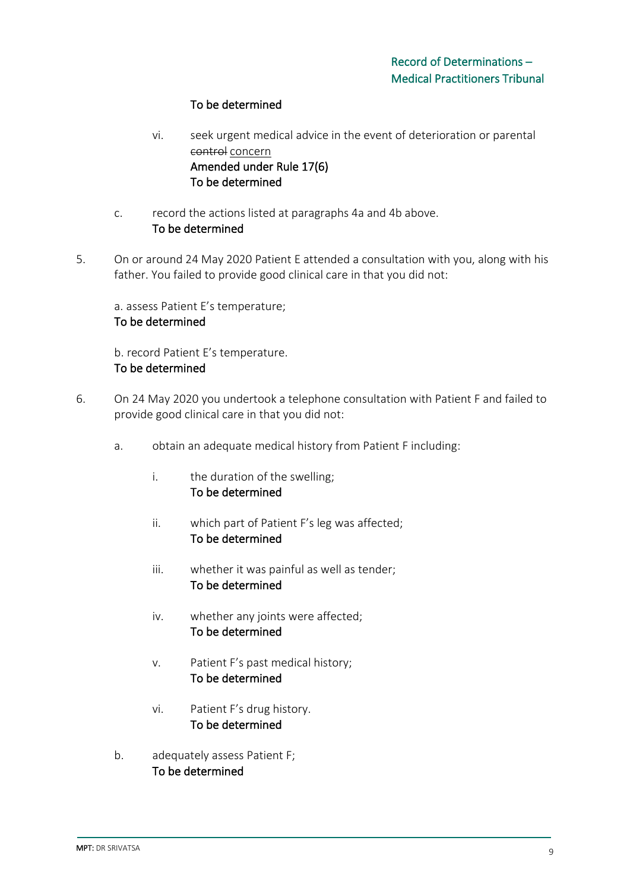# To be determined

- vi. seek urgent medical advice in the event of deterioration or parental control concern Amended under Rule 17(6) To be determined
- c. record the actions listed at paragraphs 4a and 4b above. To be determined
- 5. On or around 24 May 2020 Patient E attended a consultation with you, along with his father. You failed to provide good clinical care in that you did not:

a. assess Patient E's temperature; To be determined

b. record Patient E's temperature. To be determined

- 6. On 24 May 2020 you undertook a telephone consultation with Patient F and failed to provide good clinical care in that you did not:
	- a. obtain an adequate medical history from Patient F including:
		- i. the duration of the swelling; To be determined
		- ii. which part of Patient F's leg was affected; To be determined
		- iii. whether it was painful as well as tender; To be determined
		- iv. whether any joints were affected; To be determined
		- v. Patient F's past medical history; To be determined
		- vi. Patient F's drug history. To be determined
	- b. adequately assess Patient F; To be determined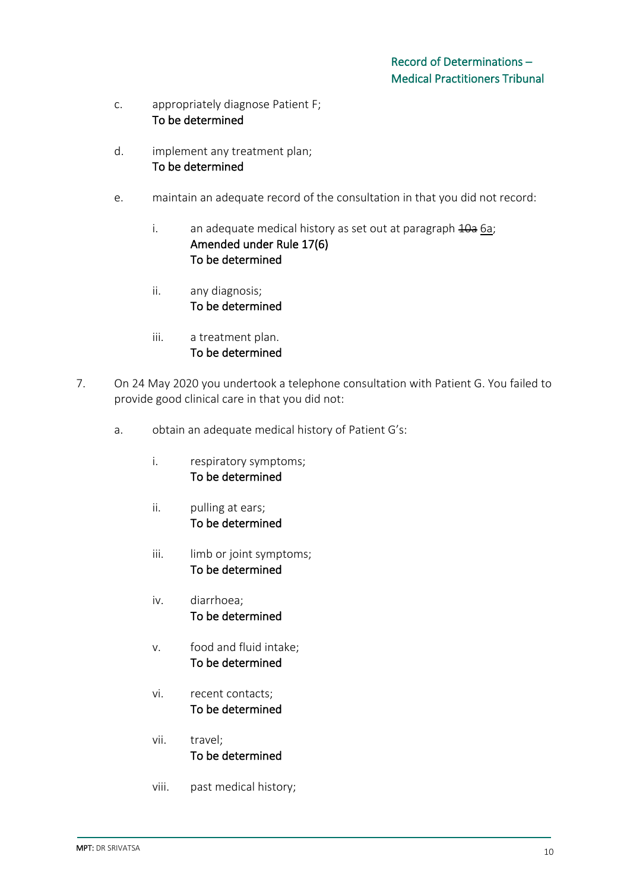- c. appropriately diagnose Patient F; To be determined
- d. implement any treatment plan; To be determined
- e. maintain an adequate record of the consultation in that you did not record:
	- i. an adequate medical history as set out at paragraph 40a 6a; Amended under Rule 17(6) To be determined
	- ii. any diagnosis; To be determined
	- iii. a treatment plan. To be determined
- 7. On 24 May 2020 you undertook a telephone consultation with Patient G. You failed to provide good clinical care in that you did not:
	- a. obtain an adequate medical history of Patient G's:
		- i. respiratory symptoms; To be determined
		- ii. pulling at ears; To be determined
		- iii. limb or joint symptoms; To be determined
		- iv. diarrhoea; To be determined
		- v. food and fluid intake; To be determined
		- vi. recent contacts; To be determined
		- vii. travel; To be determined
		- viii. past medical history;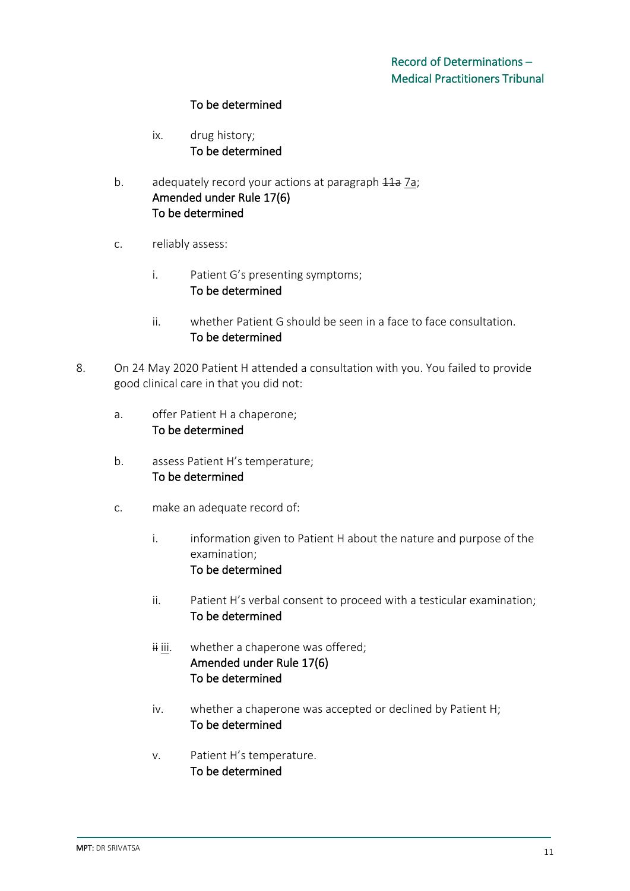# To be determined

- ix. drug history; To be determined
- b. adequately record your actions at paragraph  $\frac{11}{4}$  7a; Amended under Rule 17(6) To be determined
- c. reliably assess:
	- i. Patient G's presenting symptoms; To be determined
	- ii. whether Patient G should be seen in a face to face consultation. To be determined
- 8. On 24 May 2020 Patient H attended a consultation with you. You failed to provide good clinical care in that you did not:
	- a. offer Patient H a chaperone; To be determined
	- b. assess Patient H's temperature; To be determined
	- c. make an adequate record of:
		- i. information given to Patient H about the nature and purpose of the examination; To be determined
		- ii. Patient H's verbal consent to proceed with a testicular examination; To be determined
		- $\ddot{H}$  iii. whether a chaperone was offered; Amended under Rule 17(6) To be determined
		- iv. whether a chaperone was accepted or declined by Patient H; To be determined
		- v. Patient H's temperature. To be determined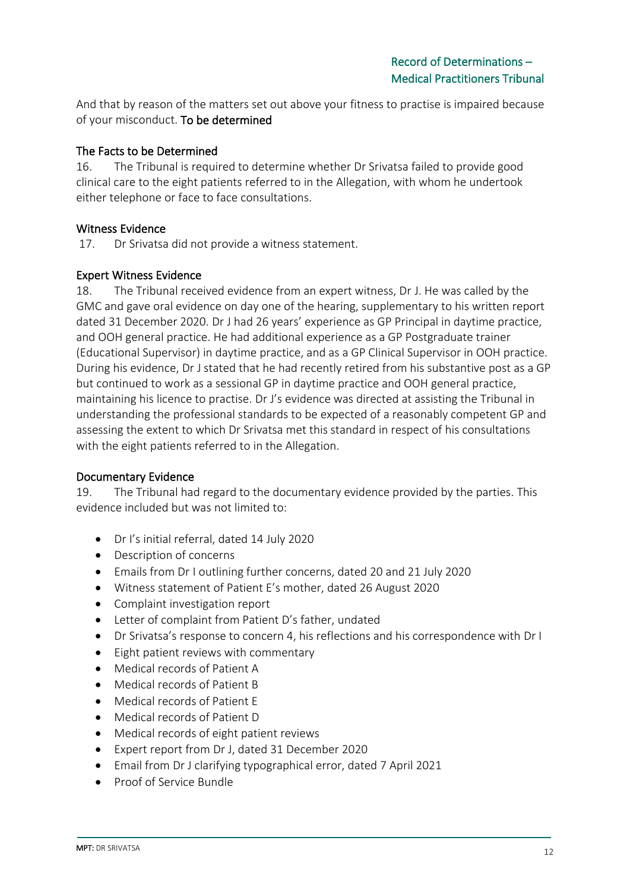And that by reason of the matters set out above your fitness to practise is impaired because of your misconduct. To be determined

### The Facts to be Determined

16. The Tribunal is required to determine whether Dr Srivatsa failed to provide good clinical care to the eight patients referred to in the Allegation, with whom he undertook either telephone or face to face consultations.

#### Witness Evidence

17. Dr Srivatsa did not provide a witness statement.

#### Expert Witness Evidence

18. The Tribunal received evidence from an expert witness, Dr J. He was called by the GMC and gave oral evidence on day one of the hearing, supplementary to his written report dated 31 December 2020. Dr J had 26 years' experience as GP Principal in daytime practice, and OOH general practice. He had additional experience as a GP Postgraduate trainer (Educational Supervisor) in daytime practice, and as a GP Clinical Supervisor in OOH practice. During his evidence, Dr J stated that he had recently retired from his substantive post as a GP but continued to work as a sessional GP in daytime practice and OOH general practice, maintaining his licence to practise. Dr J's evidence was directed at assisting the Tribunal in understanding the professional standards to be expected of a reasonably competent GP and assessing the extent to which Dr Srivatsa met this standard in respect of his consultations with the eight patients referred to in the Allegation.

#### Documentary Evidence

19. The Tribunal had regard to the documentary evidence provided by the parties. This evidence included but was not limited to:

- Dr I's initial referral, dated 14 July 2020
- Description of concerns
- Emails from Dr I outlining further concerns, dated 20 and 21 July 2020
- Witness statement of Patient E's mother, dated 26 August 2020
- Complaint investigation report
- Letter of complaint from Patient D's father, undated
- Dr Srivatsa's response to concern 4, his reflections and his correspondence with Dr I
- Eight patient reviews with commentary
- Medical records of Patient A
- Medical records of Patient B
- Medical records of Patient E
- Medical records of Patient D
- Medical records of eight patient reviews
- Expert report from Dr J, dated 31 December 2020
- Email from Dr J clarifying typographical error, dated 7 April 2021
- Proof of Service Bundle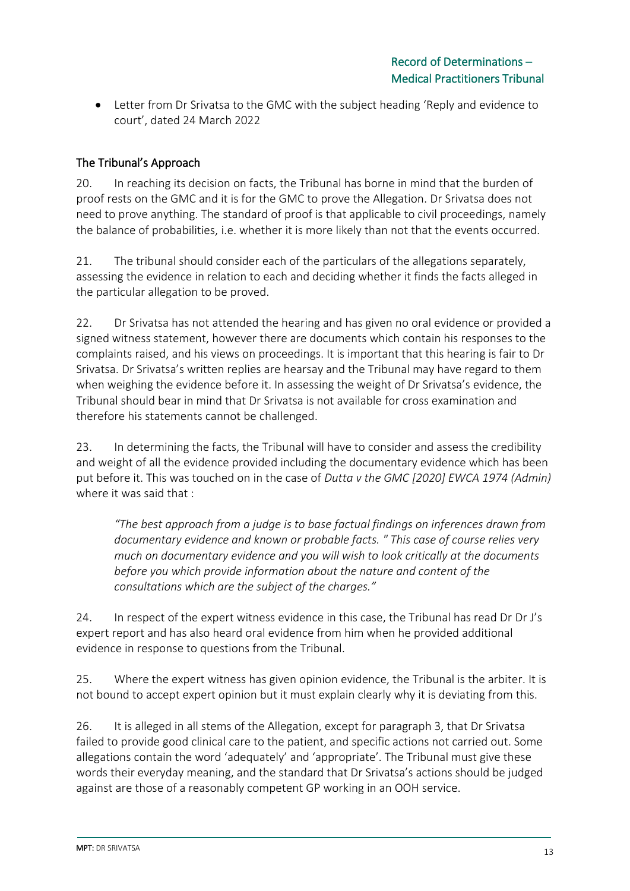• Letter from Dr Srivatsa to the GMC with the subject heading 'Reply and evidence to court', dated 24 March 2022

# The Tribunal's Approach

20. In reaching its decision on facts, the Tribunal has borne in mind that the burden of proof rests on the GMC and it is for the GMC to prove the Allegation. Dr Srivatsa does not need to prove anything. The standard of proof is that applicable to civil proceedings, namely the balance of probabilities, i.e. whether it is more likely than not that the events occurred.

21. The tribunal should consider each of the particulars of the allegations separately, assessing the evidence in relation to each and deciding whether it finds the facts alleged in the particular allegation to be proved.

22. Dr Srivatsa has not attended the hearing and has given no oral evidence or provided a signed witness statement, however there are documents which contain his responses to the complaints raised, and his views on proceedings. It is important that this hearing is fair to Dr Srivatsa. Dr Srivatsa's written replies are hearsay and the Tribunal may have regard to them when weighing the evidence before it. In assessing the weight of Dr Srivatsa's evidence, the Tribunal should bear in mind that Dr Srivatsa is not available for cross examination and therefore his statements cannot be challenged.

23. In determining the facts, the Tribunal will have to consider and assess the credibility and weight of all the evidence provided including the documentary evidence which has been put before it. This was touched on in the case of *Dutta v the GMC [2020] EWCA 1974 (Admin)* where it was said that :

*"The best approach from a judge is to base factual findings on inferences drawn from documentary evidence and known or probable facts. " This case of course relies very much on documentary evidence and you will wish to look critically at the documents before you which provide information about the nature and content of the consultations which are the subject of the charges."*

24. In respect of the expert witness evidence in this case, the Tribunal has read Dr Dr J's expert report and has also heard oral evidence from him when he provided additional evidence in response to questions from the Tribunal.

25. Where the expert witness has given opinion evidence, the Tribunal is the arbiter. It is not bound to accept expert opinion but it must explain clearly why it is deviating from this.

26. It is alleged in all stems of the Allegation, except for paragraph 3, that Dr Srivatsa failed to provide good clinical care to the patient, and specific actions not carried out. Some allegations contain the word 'adequately' and 'appropriate'. The Tribunal must give these words their everyday meaning, and the standard that Dr Srivatsa's actions should be judged against are those of a reasonably competent GP working in an OOH service.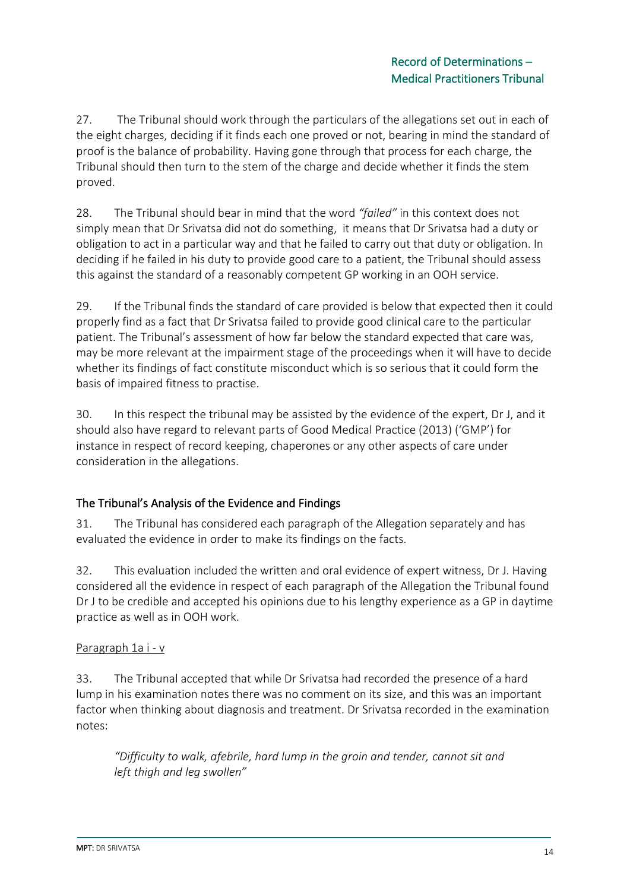27. The Tribunal should work through the particulars of the allegations set out in each of the eight charges, deciding if it finds each one proved or not, bearing in mind the standard of proof is the balance of probability. Having gone through that process for each charge, the Tribunal should then turn to the stem of the charge and decide whether it finds the stem proved.

28. The Tribunal should bear in mind that the word *"failed"* in this context does not simply mean that Dr Srivatsa did not do something, it means that Dr Srivatsa had a duty or obligation to act in a particular way and that he failed to carry out that duty or obligation. In deciding if he failed in his duty to provide good care to a patient, the Tribunal should assess this against the standard of a reasonably competent GP working in an OOH service.

29. If the Tribunal finds the standard of care provided is below that expected then it could properly find as a fact that Dr Srivatsa failed to provide good clinical care to the particular patient. The Tribunal's assessment of how far below the standard expected that care was, may be more relevant at the impairment stage of the proceedings when it will have to decide whether its findings of fact constitute misconduct which is so serious that it could form the basis of impaired fitness to practise.

30. In this respect the tribunal may be assisted by the evidence of the expert, Dr J, and it should also have regard to relevant parts of Good Medical Practice (2013) ('GMP') for instance in respect of record keeping, chaperones or any other aspects of care under consideration in the allegations.

# The Tribunal's Analysis of the Evidence and Findings

31. The Tribunal has considered each paragraph of the Allegation separately and has evaluated the evidence in order to make its findings on the facts.

32. This evaluation included the written and oral evidence of expert witness, Dr J. Having considered all the evidence in respect of each paragraph of the Allegation the Tribunal found Dr J to be credible and accepted his opinions due to his lengthy experience as a GP in daytime practice as well as in OOH work.

# Paragraph 1a i - v

33. The Tribunal accepted that while Dr Srivatsa had recorded the presence of a hard lump in his examination notes there was no comment on its size, and this was an important factor when thinking about diagnosis and treatment. Dr Srivatsa recorded in the examination notes:

*"Difficulty to walk, afebrile, hard lump in the groin and tender, cannot sit and left thigh and leg swollen"*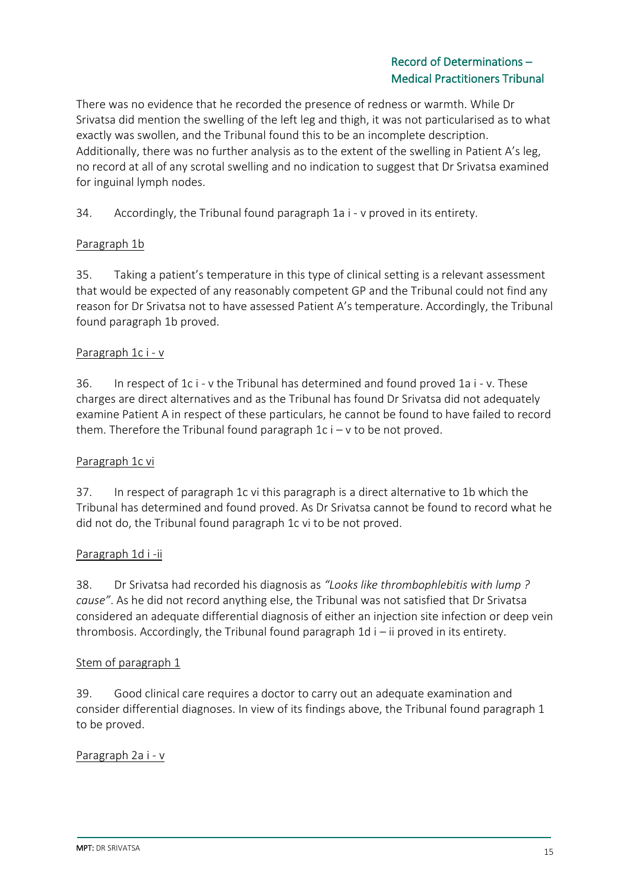There was no evidence that he recorded the presence of redness or warmth. While Dr Srivatsa did mention the swelling of the left leg and thigh, it was not particularised as to what exactly was swollen, and the Tribunal found this to be an incomplete description. Additionally, there was no further analysis as to the extent of the swelling in Patient A's leg, no record at all of any scrotal swelling and no indication to suggest that Dr Srivatsa examined for inguinal lymph nodes.

34. Accordingly, the Tribunal found paragraph 1a i - v proved in its entirety.

# Paragraph 1b

35. Taking a patient's temperature in this type of clinical setting is a relevant assessment that would be expected of any reasonably competent GP and the Tribunal could not find any reason for Dr Srivatsa not to have assessed Patient A's temperature. Accordingly, the Tribunal found paragraph 1b proved.

# Paragraph 1c i - v

36. In respect of 1c i - v the Tribunal has determined and found proved 1a i - v. These charges are direct alternatives and as the Tribunal has found Dr Srivatsa did not adequately examine Patient A in respect of these particulars, he cannot be found to have failed to record them. Therefore the Tribunal found paragraph  $1c - v$  to be not proved.

# Paragraph 1c vi

37. In respect of paragraph 1c vi this paragraph is a direct alternative to 1b which the Tribunal has determined and found proved. As Dr Srivatsa cannot be found to record what he did not do, the Tribunal found paragraph 1c vi to be not proved.

# Paragraph 1d i -ii

38. Dr Srivatsa had recorded his diagnosis as *"Looks like thrombophlebitis with lump ? cause"*. As he did not record anything else, the Tribunal was not satisfied that Dr Srivatsa considered an adequate differential diagnosis of either an injection site infection or deep vein thrombosis. Accordingly, the Tribunal found paragraph  $1d$  i – ii proved in its entirety.

#### Stem of paragraph 1

39. Good clinical care requires a doctor to carry out an adequate examination and consider differential diagnoses. In view of its findings above, the Tribunal found paragraph 1 to be proved.

# Paragraph 2a i - v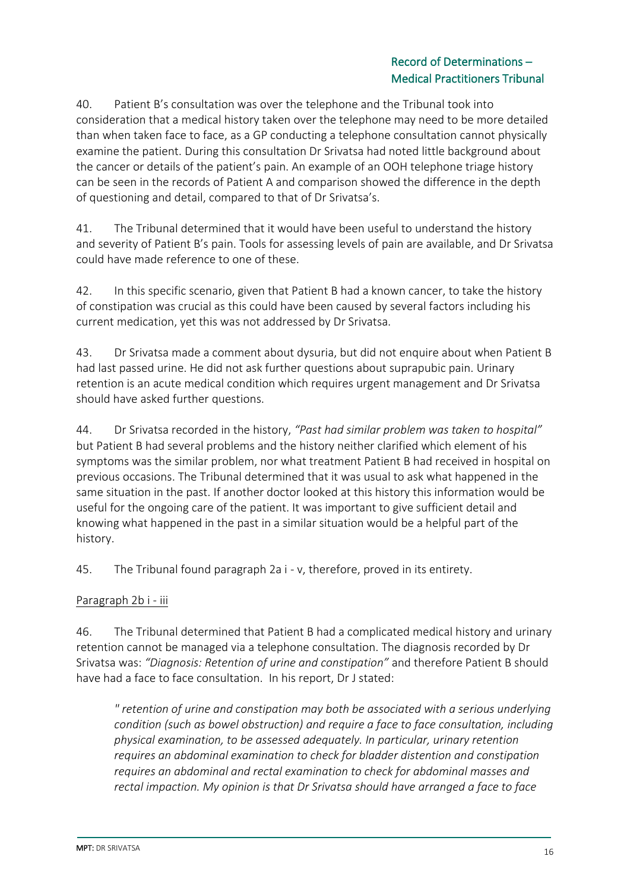40. Patient B's consultation was over the telephone and the Tribunal took into consideration that a medical history taken over the telephone may need to be more detailed than when taken face to face, as a GP conducting a telephone consultation cannot physically examine the patient. During this consultation Dr Srivatsa had noted little background about the cancer or details of the patient's pain. An example of an OOH telephone triage history can be seen in the records of Patient A and comparison showed the difference in the depth of questioning and detail, compared to that of Dr Srivatsa's.

41. The Tribunal determined that it would have been useful to understand the history and severity of Patient B's pain. Tools for assessing levels of pain are available, and Dr Srivatsa could have made reference to one of these.

42. In this specific scenario, given that Patient B had a known cancer, to take the history of constipation was crucial as this could have been caused by several factors including his current medication, yet this was not addressed by Dr Srivatsa.

43. Dr Srivatsa made a comment about dysuria, but did not enquire about when Patient B had last passed urine. He did not ask further questions about suprapubic pain. Urinary retention is an acute medical condition which requires urgent management and Dr Srivatsa should have asked further questions.

44. Dr Srivatsa recorded in the history, *"Past had similar problem was taken to hospital"*  but Patient B had several problems and the history neither clarified which element of his symptoms was the similar problem, nor what treatment Patient B had received in hospital on previous occasions. The Tribunal determined that it was usual to ask what happened in the same situation in the past. If another doctor looked at this history this information would be useful for the ongoing care of the patient. It was important to give sufficient detail and knowing what happened in the past in a similar situation would be a helpful part of the history.

45. The Tribunal found paragraph 2a i - v, therefore, proved in its entirety.

# Paragraph 2b i - iii

46. The Tribunal determined that Patient B had a complicated medical history and urinary retention cannot be managed via a telephone consultation. The diagnosis recorded by Dr Srivatsa was: *"Diagnosis: Retention of urine and constipation"* and therefore Patient B should have had a face to face consultation. In his report, Dr J stated:

*" retention of urine and constipation may both be associated with a serious underlying condition (such as bowel obstruction) and require a face to face consultation, including physical examination, to be assessed adequately. In particular, urinary retention requires an abdominal examination to check for bladder distention and constipation requires an abdominal and rectal examination to check for abdominal masses and rectal impaction. My opinion is that Dr Srivatsa should have arranged a face to face*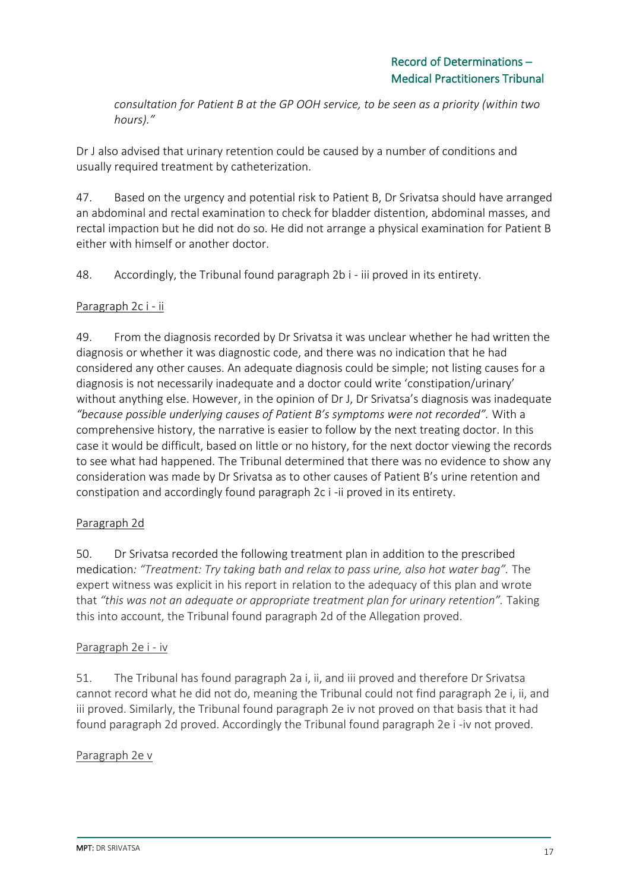*consultation for Patient B at the GP OOH service, to be seen as a priority (within two hours)."*

Dr J also advised that urinary retention could be caused by a number of conditions and usually required treatment by catheterization.

47. Based on the urgency and potential risk to Patient B, Dr Srivatsa should have arranged an abdominal and rectal examination to check for bladder distention, abdominal masses, and rectal impaction but he did not do so. He did not arrange a physical examination for Patient B either with himself or another doctor.

48. Accordingly, the Tribunal found paragraph 2b i - iii proved in its entirety.

# Paragraph 2c i - ii

49. From the diagnosis recorded by Dr Srivatsa it was unclear whether he had written the diagnosis or whether it was diagnostic code, and there was no indication that he had considered any other causes. An adequate diagnosis could be simple; not listing causes for a diagnosis is not necessarily inadequate and a doctor could write 'constipation/urinary' without anything else. However, in the opinion of Dr J, Dr Srivatsa's diagnosis was inadequate *"because possible underlying causes of Patient B's symptoms were not recorded".* With a comprehensive history, the narrative is easier to follow by the next treating doctor. In this case it would be difficult, based on little or no history, for the next doctor viewing the records to see what had happened. The Tribunal determined that there was no evidence to show any consideration was made by Dr Srivatsa as to other causes of Patient B's urine retention and constipation and accordingly found paragraph 2c i -ii proved in its entirety.

# Paragraph 2d

50. Dr Srivatsa recorded the following treatment plan in addition to the prescribed medication*: "Treatment: Try taking bath and relax to pass urine, also hot water bag".* The expert witness was explicit in his report in relation to the adequacy of this plan and wrote that *"this was not an adequate or appropriate treatment plan for urinary retention".* Taking this into account, the Tribunal found paragraph 2d of the Allegation proved.

# Paragraph 2e i - iv

51. The Tribunal has found paragraph 2a i, ii, and iii proved and therefore Dr Srivatsa cannot record what he did not do, meaning the Tribunal could not find paragraph 2e i, ii, and iii proved. Similarly, the Tribunal found paragraph 2e iv not proved on that basis that it had found paragraph 2d proved. Accordingly the Tribunal found paragraph 2e i -iv not proved.

# Paragraph 2e v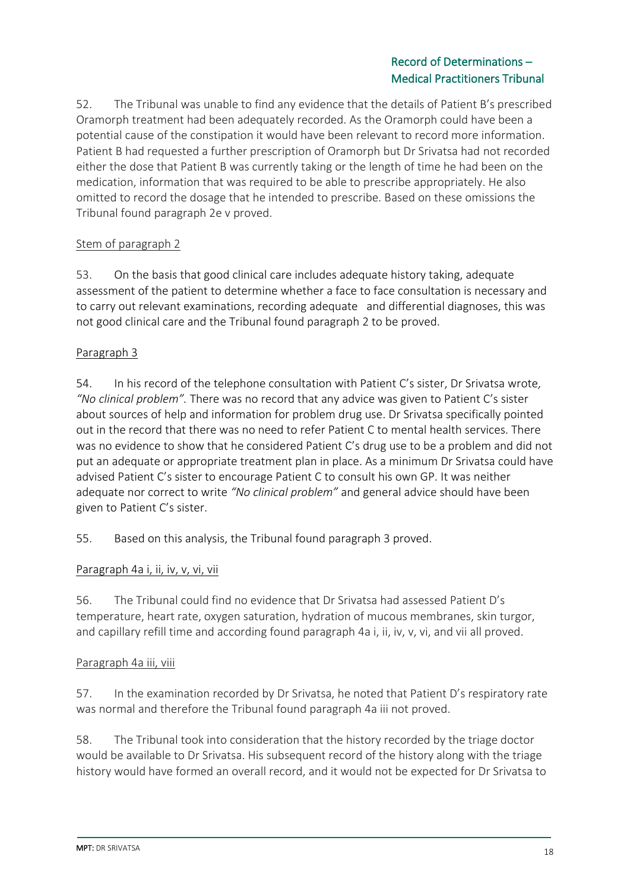52. The Tribunal was unable to find any evidence that the details of Patient B's prescribed Oramorph treatment had been adequately recorded. As the Oramorph could have been a potential cause of the constipation it would have been relevant to record more information. Patient B had requested a further prescription of Oramorph but Dr Srivatsa had not recorded either the dose that Patient B was currently taking or the length of time he had been on the medication, information that was required to be able to prescribe appropriately. He also omitted to record the dosage that he intended to prescribe. Based on these omissions the Tribunal found paragraph 2e v proved.

# Stem of paragraph 2

53. On the basis that good clinical care includes adequate history taking, adequate assessment of the patient to determine whether a face to face consultation is necessary and to carry out relevant examinations, recording adequate and differential diagnoses, this was not good clinical care and the Tribunal found paragraph 2 to be proved.

# Paragraph 3

54. In his record of the telephone consultation with Patient C's sister, Dr Srivatsa wrote*, "No clinical problem".* There was no record that any advice was given to Patient C's sister about sources of help and information for problem drug use. Dr Srivatsa specifically pointed out in the record that there was no need to refer Patient C to mental health services. There was no evidence to show that he considered Patient C's drug use to be a problem and did not put an adequate or appropriate treatment plan in place. As a minimum Dr Srivatsa could have advised Patient C's sister to encourage Patient C to consult his own GP. It was neither adequate nor correct to write *"No clinical problem"* and general advice should have been given to Patient C's sister.

55. Based on this analysis, the Tribunal found paragraph 3 proved.

# Paragraph 4a i, ii, iv, v, vi, vii

56. The Tribunal could find no evidence that Dr Srivatsa had assessed Patient D's temperature, heart rate, oxygen saturation, hydration of mucous membranes, skin turgor, and capillary refill time and according found paragraph 4a i, ii, iv, v, vi, and vii all proved.

# Paragraph 4a iii, viii

57. In the examination recorded by Dr Srivatsa, he noted that Patient D's respiratory rate was normal and therefore the Tribunal found paragraph 4a iii not proved.

58. The Tribunal took into consideration that the history recorded by the triage doctor would be available to Dr Srivatsa. His subsequent record of the history along with the triage history would have formed an overall record, and it would not be expected for Dr Srivatsa to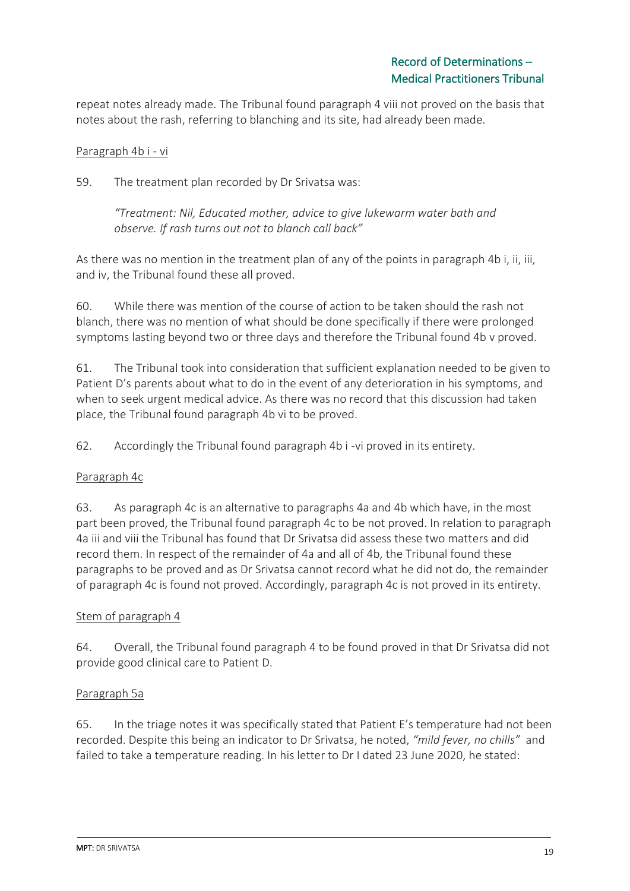repeat notes already made. The Tribunal found paragraph 4 viii not proved on the basis that notes about the rash, referring to blanching and its site, had already been made.

#### Paragraph 4b i - vi

59. The treatment plan recorded by Dr Srivatsa was:

*"Treatment: Nil, Educated mother, advice to give lukewarm water bath and observe. If rash turns out not to blanch call back"*

As there was no mention in the treatment plan of any of the points in paragraph 4b i, ii, iii, and iv, the Tribunal found these all proved.

60. While there was mention of the course of action to be taken should the rash not blanch, there was no mention of what should be done specifically if there were prolonged symptoms lasting beyond two or three days and therefore the Tribunal found 4b v proved.

61. The Tribunal took into consideration that sufficient explanation needed to be given to Patient D's parents about what to do in the event of any deterioration in his symptoms, and when to seek urgent medical advice. As there was no record that this discussion had taken place, the Tribunal found paragraph 4b vi to be proved.

62. Accordingly the Tribunal found paragraph 4b i -vi proved in its entirety.

# Paragraph 4c

63. As paragraph 4c is an alternative to paragraphs 4a and 4b which have, in the most part been proved, the Tribunal found paragraph 4c to be not proved. In relation to paragraph 4a iii and viii the Tribunal has found that Dr Srivatsa did assess these two matters and did record them. In respect of the remainder of 4a and all of 4b, the Tribunal found these paragraphs to be proved and as Dr Srivatsa cannot record what he did not do, the remainder of paragraph 4c is found not proved. Accordingly, paragraph 4c is not proved in its entirety.

#### Stem of paragraph 4

64. Overall, the Tribunal found paragraph 4 to be found proved in that Dr Srivatsa did not provide good clinical care to Patient D.

#### Paragraph 5a

65. In the triage notes it was specifically stated that Patient E's temperature had not been recorded. Despite this being an indicator to Dr Srivatsa, he noted, *"mild fever, no chills"* and failed to take a temperature reading. In his letter to Dr I dated 23 June 2020, he stated: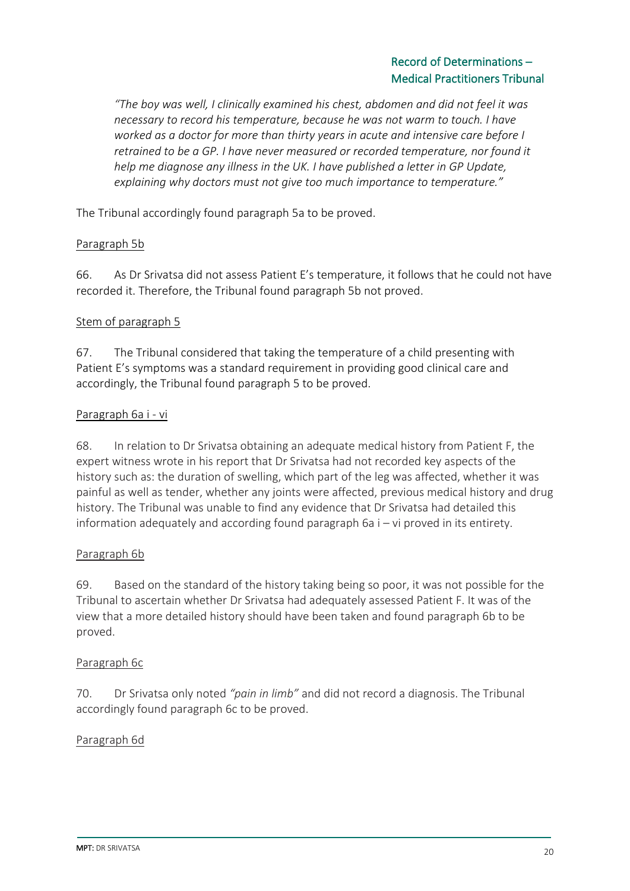*"The boy was well, I clinically examined his chest, abdomen and did not feel it was necessary to record his temperature, because he was not warm to touch. I have worked as a doctor for more than thirty years in acute and intensive care before I retrained to be a GP. I have never measured or recorded temperature, nor found it help me diagnose any illness in the UK. I have published a letter in GP Update, explaining why doctors must not give too much importance to temperature."*

The Tribunal accordingly found paragraph 5a to be proved.

# Paragraph 5b

66. As Dr Srivatsa did not assess Patient E's temperature, it follows that he could not have recorded it. Therefore, the Tribunal found paragraph 5b not proved.

# Stem of paragraph 5

67. The Tribunal considered that taking the temperature of a child presenting with Patient E's symptoms was a standard requirement in providing good clinical care and accordingly, the Tribunal found paragraph 5 to be proved.

# Paragraph 6a i - vi

68. In relation to Dr Srivatsa obtaining an adequate medical history from Patient F, the expert witness wrote in his report that Dr Srivatsa had not recorded key aspects of the history such as: the duration of swelling, which part of the leg was affected, whether it was painful as well as tender, whether any joints were affected, previous medical history and drug history. The Tribunal was unable to find any evidence that Dr Srivatsa had detailed this information adequately and according found paragraph 6a i – vi proved in its entirety.

# Paragraph 6b

69. Based on the standard of the history taking being so poor, it was not possible for the Tribunal to ascertain whether Dr Srivatsa had adequately assessed Patient F. It was of the view that a more detailed history should have been taken and found paragraph 6b to be proved.

# Paragraph 6c

70. Dr Srivatsa only noted *"pain in limb"* and did not record a diagnosis. The Tribunal accordingly found paragraph 6c to be proved.

#### Paragraph 6d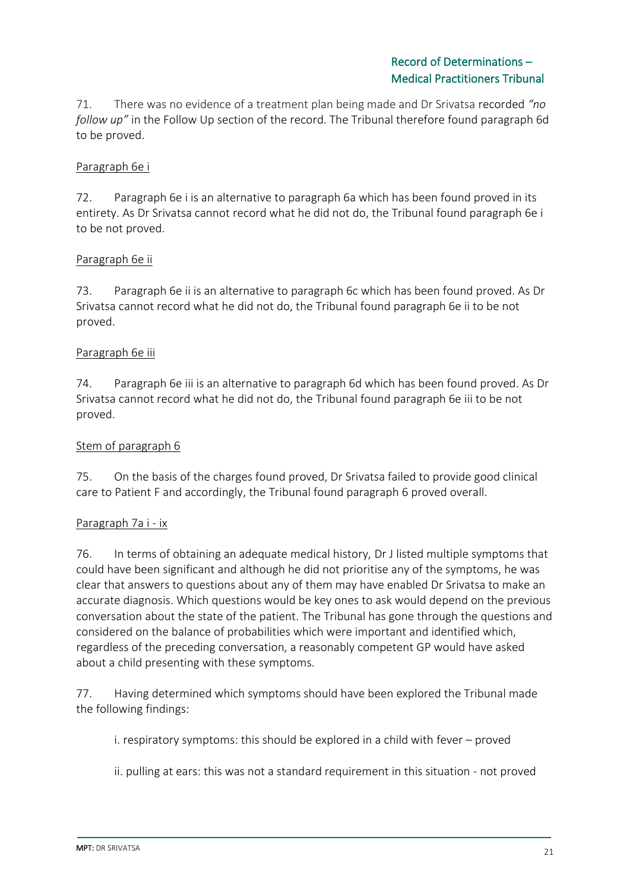71. There was no evidence of a treatment plan being made and Dr Srivatsa recorded *"no follow up"* in the Follow Up section of the record. The Tribunal therefore found paragraph 6d to be proved.

# Paragraph 6e i

72. Paragraph 6e i is an alternative to paragraph 6a which has been found proved in its entirety. As Dr Srivatsa cannot record what he did not do, the Tribunal found paragraph 6e i to be not proved.

# Paragraph 6e ii

73. Paragraph 6e ii is an alternative to paragraph 6c which has been found proved. As Dr Srivatsa cannot record what he did not do, the Tribunal found paragraph 6e ii to be not proved.

#### Paragraph 6e iii

74. Paragraph 6e iii is an alternative to paragraph 6d which has been found proved. As Dr Srivatsa cannot record what he did not do, the Tribunal found paragraph 6e iii to be not proved.

#### Stem of paragraph 6

75. On the basis of the charges found proved, Dr Srivatsa failed to provide good clinical care to Patient F and accordingly, the Tribunal found paragraph 6 proved overall.

# Paragraph 7a i - ix

76. In terms of obtaining an adequate medical history, Dr J listed multiple symptoms that could have been significant and although he did not prioritise any of the symptoms, he was clear that answers to questions about any of them may have enabled Dr Srivatsa to make an accurate diagnosis. Which questions would be key ones to ask would depend on the previous conversation about the state of the patient. The Tribunal has gone through the questions and considered on the balance of probabilities which were important and identified which, regardless of the preceding conversation, a reasonably competent GP would have asked about a child presenting with these symptoms.

77. Having determined which symptoms should have been explored the Tribunal made the following findings:

- i. respiratory symptoms: this should be explored in a child with fever proved
- ii. pulling at ears: this was not a standard requirement in this situation not proved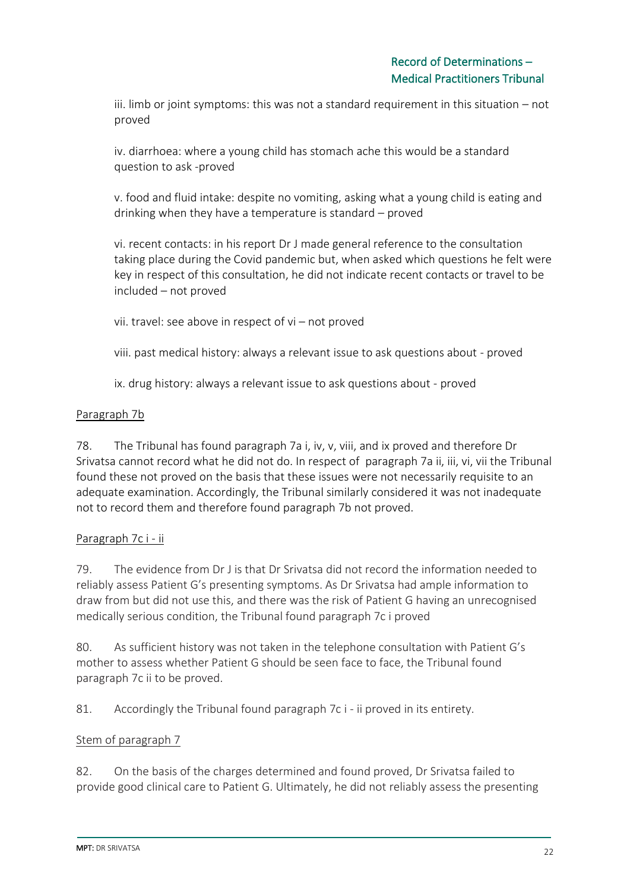iii. limb or joint symptoms: this was not a standard requirement in this situation – not proved

iv. diarrhoea: where a young child has stomach ache this would be a standard question to ask -proved

v. food and fluid intake: despite no vomiting, asking what a young child is eating and drinking when they have a temperature is standard – proved

vi. recent contacts: in his report Dr J made general reference to the consultation taking place during the Covid pandemic but, when asked which questions he felt were key in respect of this consultation, he did not indicate recent contacts or travel to be included – not proved

vii. travel: see above in respect of vi – not proved

viii. past medical history: always a relevant issue to ask questions about - proved

ix. drug history: always a relevant issue to ask questions about - proved

# Paragraph 7b

78. The Tribunal has found paragraph 7a i, iv, v, viii, and ix proved and therefore Dr Srivatsa cannot record what he did not do. In respect of paragraph 7a ii, iii, vi, vii the Tribunal found these not proved on the basis that these issues were not necessarily requisite to an adequate examination. Accordingly, the Tribunal similarly considered it was not inadequate not to record them and therefore found paragraph 7b not proved.

# Paragraph 7c i - ii

79. The evidence from Dr J is that Dr Srivatsa did not record the information needed to reliably assess Patient G's presenting symptoms. As Dr Srivatsa had ample information to draw from but did not use this, and there was the risk of Patient G having an unrecognised medically serious condition, the Tribunal found paragraph 7c i proved

80. As sufficient history was not taken in the telephone consultation with Patient G's mother to assess whether Patient G should be seen face to face, the Tribunal found paragraph 7c ii to be proved.

81. Accordingly the Tribunal found paragraph 7c i - ii proved in its entirety.

# Stem of paragraph 7

82. On the basis of the charges determined and found proved, Dr Srivatsa failed to provide good clinical care to Patient G. Ultimately, he did not reliably assess the presenting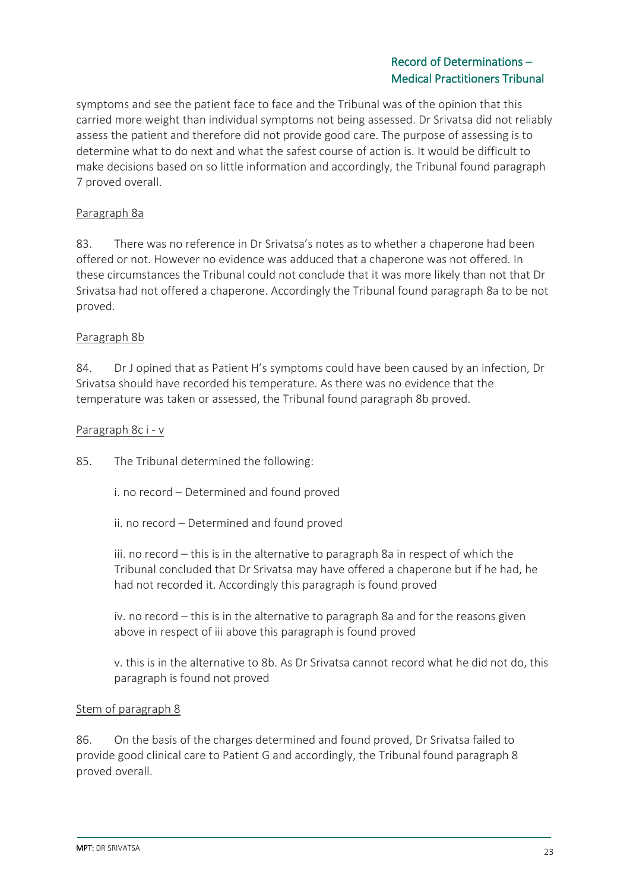symptoms and see the patient face to face and the Tribunal was of the opinion that this carried more weight than individual symptoms not being assessed. Dr Srivatsa did not reliably assess the patient and therefore did not provide good care. The purpose of assessing is to determine what to do next and what the safest course of action is. It would be difficult to make decisions based on so little information and accordingly, the Tribunal found paragraph 7 proved overall.

### Paragraph 8a

83. There was no reference in Dr Srivatsa's notes as to whether a chaperone had been offered or not. However no evidence was adduced that a chaperone was not offered. In these circumstances the Tribunal could not conclude that it was more likely than not that Dr Srivatsa had not offered a chaperone. Accordingly the Tribunal found paragraph 8a to be not proved.

#### Paragraph 8b

84. Dr J opined that as Patient H's symptoms could have been caused by an infection, Dr Srivatsa should have recorded his temperature. As there was no evidence that the temperature was taken or assessed, the Tribunal found paragraph 8b proved.

#### Paragraph 8c i - v

85. The Tribunal determined the following:

i. no record – Determined and found proved

ii. no record – Determined and found proved

iii. no record – this is in the alternative to paragraph 8a in respect of which the Tribunal concluded that Dr Srivatsa may have offered a chaperone but if he had, he had not recorded it. Accordingly this paragraph is found proved

iv. no record – this is in the alternative to paragraph 8a and for the reasons given above in respect of iii above this paragraph is found proved

v. this is in the alternative to 8b. As Dr Srivatsa cannot record what he did not do, this paragraph is found not proved

#### Stem of paragraph 8

86. On the basis of the charges determined and found proved, Dr Srivatsa failed to provide good clinical care to Patient G and accordingly, the Tribunal found paragraph 8 proved overall.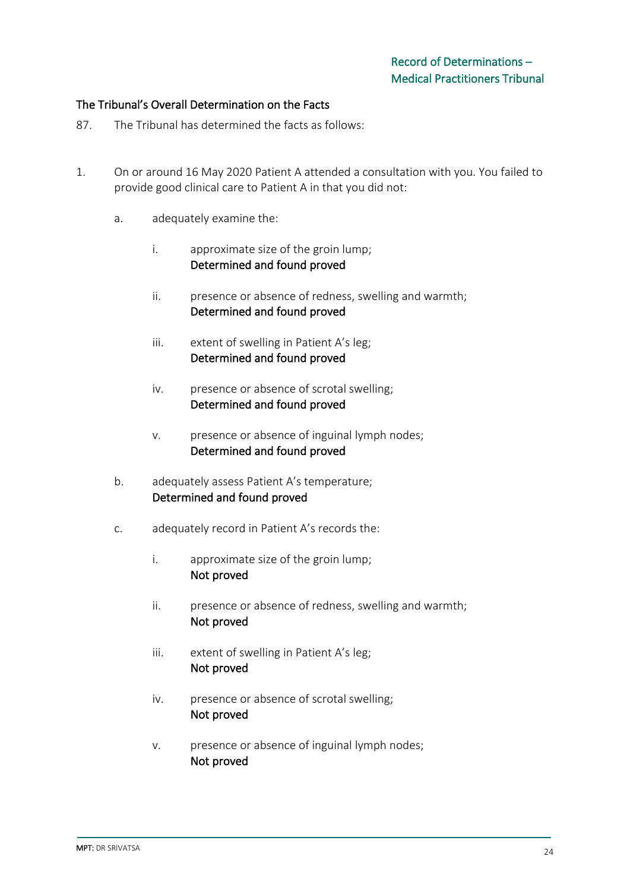# The Tribunal's Overall Determination on the Facts

- 87. The Tribunal has determined the facts as follows:
- 1. On or around 16 May 2020 Patient A attended a consultation with you. You failed to provide good clinical care to Patient A in that you did not:
	- a. adequately examine the:
		- i. approximate size of the groin lump; Determined and found proved
		- ii. presence or absence of redness, swelling and warmth; Determined and found proved
		- iii. extent of swelling in Patient A's leg; Determined and found proved
		- iv. presence or absence of scrotal swelling; Determined and found proved
		- v. presence or absence of inguinal lymph nodes; Determined and found proved
	- b. adequately assess Patient A's temperature; Determined and found proved
	- c. adequately record in Patient A's records the:
		- i. approximate size of the groin lump; Not proved
		- ii. presence or absence of redness, swelling and warmth; Not proved
		- iii. extent of swelling in Patient A's leg; Not proved
		- iv. presence or absence of scrotal swelling; Not proved
		- v. presence or absence of inguinal lymph nodes; Not proved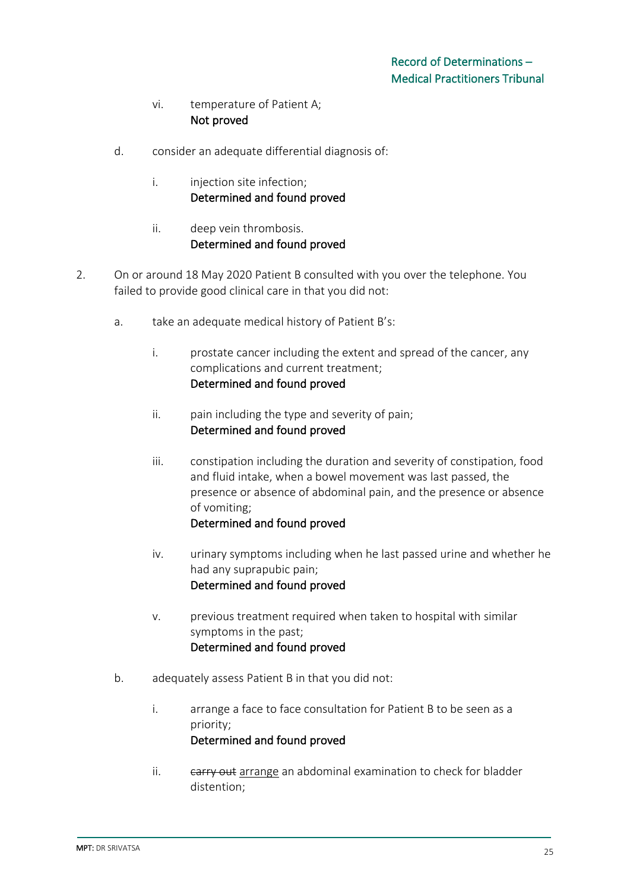# vi. temperature of Patient A; Not proved

- d. consider an adequate differential diagnosis of:
	- i. injection site infection: Determined and found proved
	- ii. deep vein thrombosis. Determined and found proved
- 2. On or around 18 May 2020 Patient B consulted with you over the telephone. You failed to provide good clinical care in that you did not:
	- a. take an adequate medical history of Patient B's:
		- i. prostate cancer including the extent and spread of the cancer, any complications and current treatment; Determined and found proved
		- ii. pain including the type and severity of pain; Determined and found proved
		- iii. constipation including the duration and severity of constipation, food and fluid intake, when a bowel movement was last passed, the presence or absence of abdominal pain, and the presence or absence of vomiting; Determined and found proved
		- iv. urinary symptoms including when he last passed urine and whether he had any suprapubic pain; Determined and found proved
		- v. previous treatment required when taken to hospital with similar symptoms in the past; Determined and found proved
	- b. adequately assess Patient B in that you did not:
		- i. arrange a face to face consultation for Patient B to be seen as a priority; Determined and found proved
		- ii. carry out arrange an abdominal examination to check for bladder distention;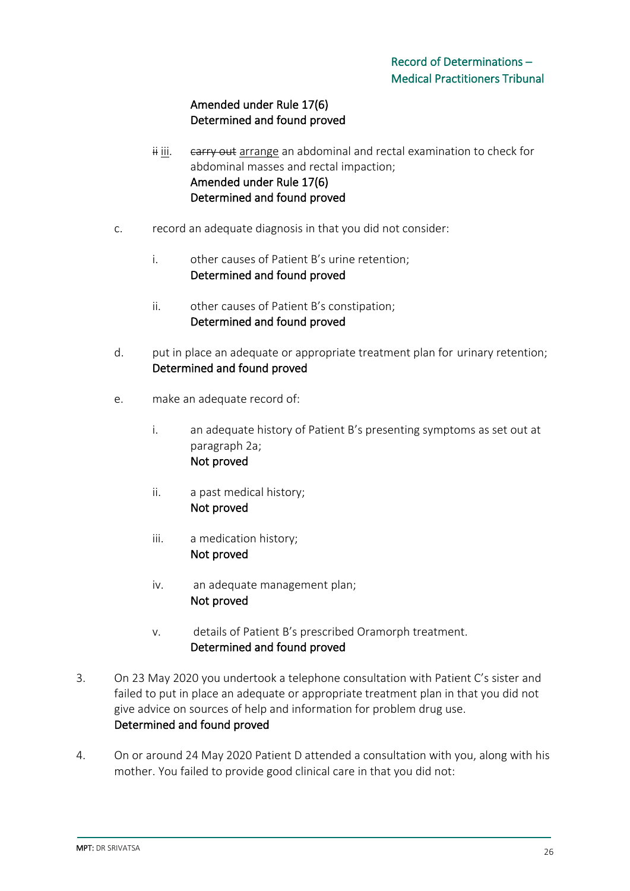# Amended under Rule 17(6) Determined and found proved

- iiii. earry out arrange an abdominal and rectal examination to check for abdominal masses and rectal impaction; Amended under Rule 17(6) Determined and found proved
- c. record an adequate diagnosis in that you did not consider:
	- i. other causes of Patient B's urine retention; Determined and found proved
	- ii. other causes of Patient B's constipation; Determined and found proved
- d. put in place an adequate or appropriate treatment plan for urinary retention; Determined and found proved
- e. make an adequate record of:
	- i. an adequate history of Patient B's presenting symptoms as set out at paragraph 2a; Not proved
	- ii. a past medical history; Not proved
	- iii. a medication history; Not proved
	- iv. an adequate management plan; Not proved
	- v. details of Patient B's prescribed Oramorph treatment. Determined and found proved
- 3. On 23 May 2020 you undertook a telephone consultation with Patient C's sister and failed to put in place an adequate or appropriate treatment plan in that you did not give advice on sources of help and information for problem drug use. Determined and found proved
- 4. On or around 24 May 2020 Patient D attended a consultation with you, along with his mother. You failed to provide good clinical care in that you did not: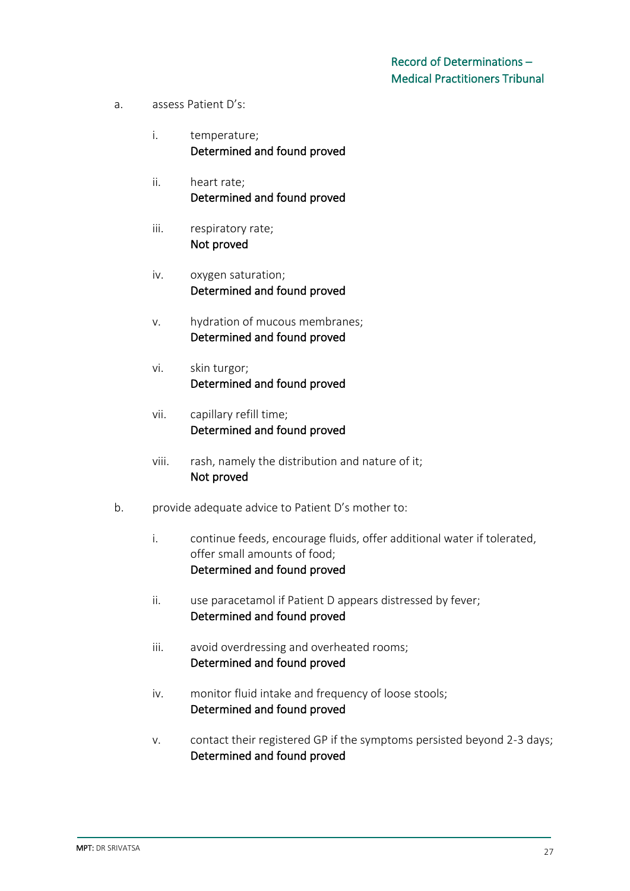- a. assess Patient D's:
	- i. temperature; Determined and found proved
	- ii. heart rate; Determined and found proved
	- iii. respiratory rate; Not proved
	- iv. oxygen saturation; Determined and found proved
	- v. hydration of mucous membranes; Determined and found proved
	- vi. skin turgor; Determined and found proved
	- vii. capillary refill time; Determined and found proved
	- viii. rash, namely the distribution and nature of it; Not proved
- b. provide adequate advice to Patient D's mother to:
	- i. continue feeds, encourage fluids, offer additional water if tolerated, offer small amounts of food; Determined and found proved
	- ii. use paracetamol if Patient D appears distressed by fever; Determined and found proved
	- iii. avoid overdressing and overheated rooms; Determined and found proved
	- iv. monitor fluid intake and frequency of loose stools; Determined and found proved
	- v. contact their registered GP if the symptoms persisted beyond 2-3 days; Determined and found proved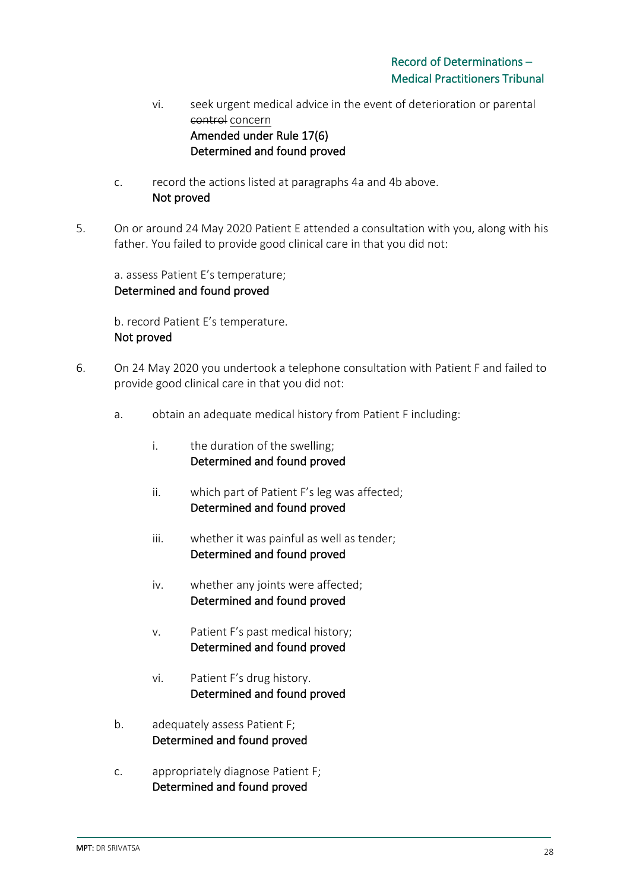- vi. seek urgent medical advice in the event of deterioration or parental control concern Amended under Rule 17(6) Determined and found proved
- c. record the actions listed at paragraphs 4a and 4b above. Not proved
- 5. On or around 24 May 2020 Patient E attended a consultation with you, along with his father. You failed to provide good clinical care in that you did not:

a. assess Patient E's temperature; Determined and found proved

b. record Patient E's temperature. Not proved

- 6. On 24 May 2020 you undertook a telephone consultation with Patient F and failed to provide good clinical care in that you did not:
	- a. obtain an adequate medical history from Patient F including:
		- i. the duration of the swelling; Determined and found proved
		- ii. which part of Patient F's leg was affected; Determined and found proved
		- iii. whether it was painful as well as tender; Determined and found proved
		- iv. whether any joints were affected; Determined and found proved
		- v. Patient F's past medical history; Determined and found proved
		- vi. Patient F's drug history. Determined and found proved
	- b. adequately assess Patient F; Determined and found proved
	- c. appropriately diagnose Patient F; Determined and found proved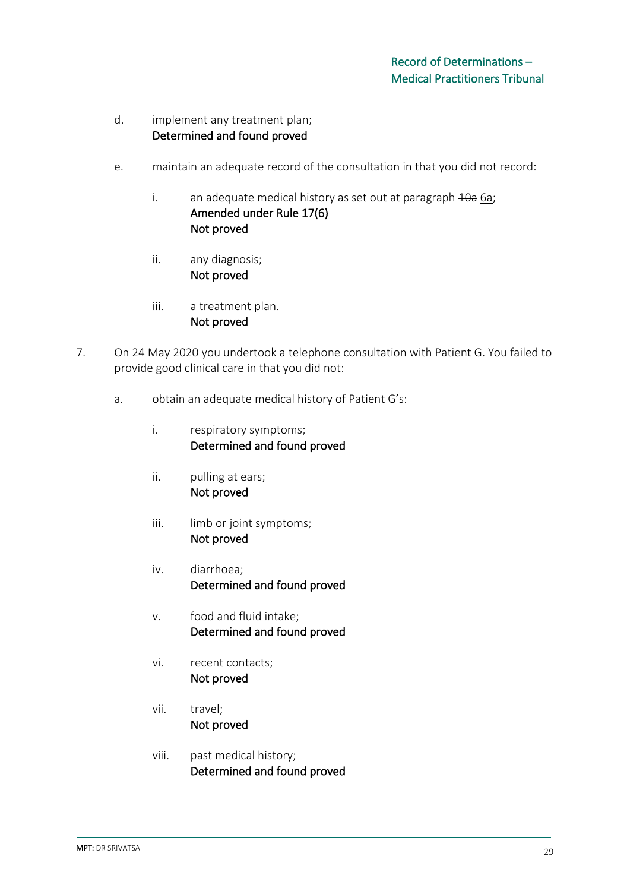- d. implement any treatment plan; Determined and found proved
- e. maintain an adequate record of the consultation in that you did not record:
	- i. an adequate medical history as set out at paragraph 40a 6a; Amended under Rule 17(6) Not proved
	- ii. any diagnosis; Not proved
	- iii. a treatment plan. Not proved
- 7. On 24 May 2020 you undertook a telephone consultation with Patient G. You failed to provide good clinical care in that you did not:
	- a. obtain an adequate medical history of Patient G's:
		- i. respiratory symptoms; Determined and found proved
		- ii. pulling at ears; Not proved
		- iii. limb or joint symptoms; Not proved
		- iv. diarrhoea; Determined and found proved
		- v. food and fluid intake; Determined and found proved
		- vi. recent contacts; Not proved
		- vii. travel; Not proved
		- viii. past medical history; Determined and found proved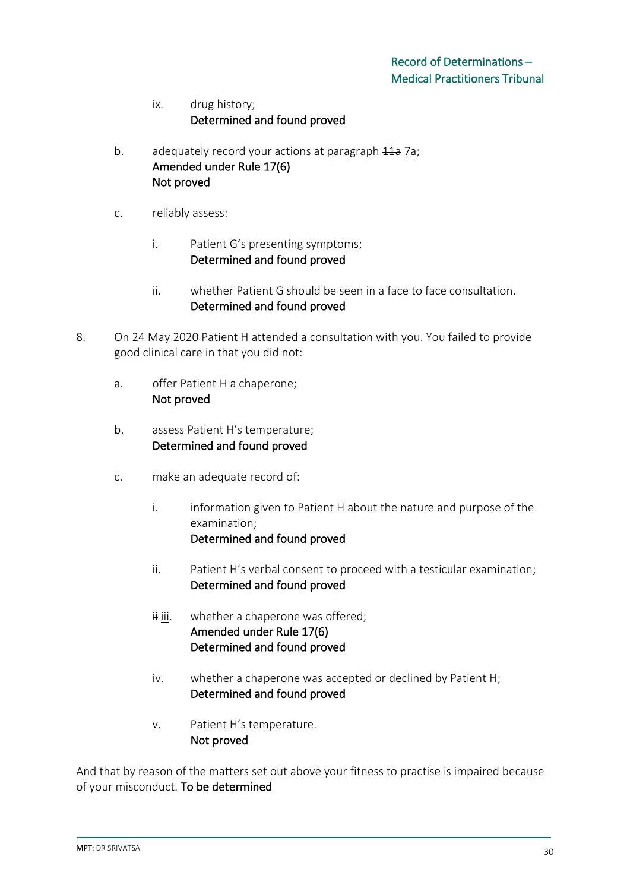# ix. drug history; Determined and found proved

- b. adequately record your actions at paragraph  $\frac{11}{10}$  7a; Amended under Rule 17(6) Not proved
- c. reliably assess:
	- i. Patient G's presenting symptoms; Determined and found proved
	- ii. whether Patient G should be seen in a face to face consultation. Determined and found proved
- 8. On 24 May 2020 Patient H attended a consultation with you. You failed to provide good clinical care in that you did not:
	- a. offer Patient H a chaperone; Not proved
	- b. assess Patient H's temperature; Determined and found proved
	- c. make an adequate record of:
		- i. information given to Patient H about the nature and purpose of the examination; Determined and found proved
		- ii. Patient H's verbal consent to proceed with a testicular examination; Determined and found proved
		- $\ddot{H}$  iii. whether a chaperone was offered; Amended under Rule 17(6) Determined and found proved
		- iv. whether a chaperone was accepted or declined by Patient H; Determined and found proved
		- v. Patient H's temperature. Not proved

And that by reason of the matters set out above your fitness to practise is impaired because of your misconduct. To be determined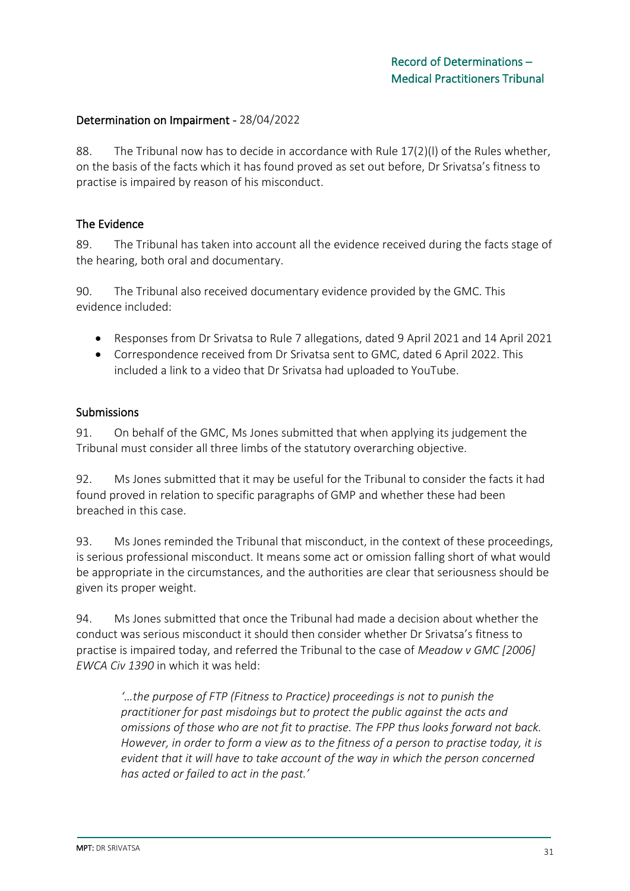### Determination on Impairment - 28/04/2022

88. The Tribunal now has to decide in accordance with Rule 17(2)(l) of the Rules whether, on the basis of the facts which it has found proved as set out before, Dr Srivatsa's fitness to practise is impaired by reason of his misconduct.

#### The Evidence

89. The Tribunal has taken into account all the evidence received during the facts stage of the hearing, both oral and documentary.

90. The Tribunal also received documentary evidence provided by the GMC. This evidence included:

- Responses from Dr Srivatsa to Rule 7 allegations, dated 9 April 2021 and 14 April 2021
- Correspondence received from Dr Srivatsa sent to GMC, dated 6 April 2022. This included a link to a video that Dr Srivatsa had uploaded to YouTube.

#### Submissions

91. On behalf of the GMC, Ms Jones submitted that when applying its judgement the Tribunal must consider all three limbs of the statutory overarching objective.

92. Ms Jones submitted that it may be useful for the Tribunal to consider the facts it had found proved in relation to specific paragraphs of GMP and whether these had been breached in this case.

93. Ms Jones reminded the Tribunal that misconduct, in the context of these proceedings, is serious professional misconduct. It means some act or omission falling short of what would be appropriate in the circumstances, and the authorities are clear that seriousness should be given its proper weight.

94. Ms Jones submitted that once the Tribunal had made a decision about whether the conduct was serious misconduct it should then consider whether Dr Srivatsa's fitness to practise is impaired today, and referred the Tribunal to the case of *Meadow v GMC [2006] EWCA Civ 1390* in which it was held:

*'…the purpose of FTP (Fitness to Practice) proceedings is not to punish the practitioner for past misdoings but to protect the public against the acts and omissions of those who are not fit to practise. The FPP thus looks forward not back. However, in order to form a view as to the fitness of a person to practise today, it is evident that it will have to take account of the way in which the person concerned has acted or failed to act in the past.'*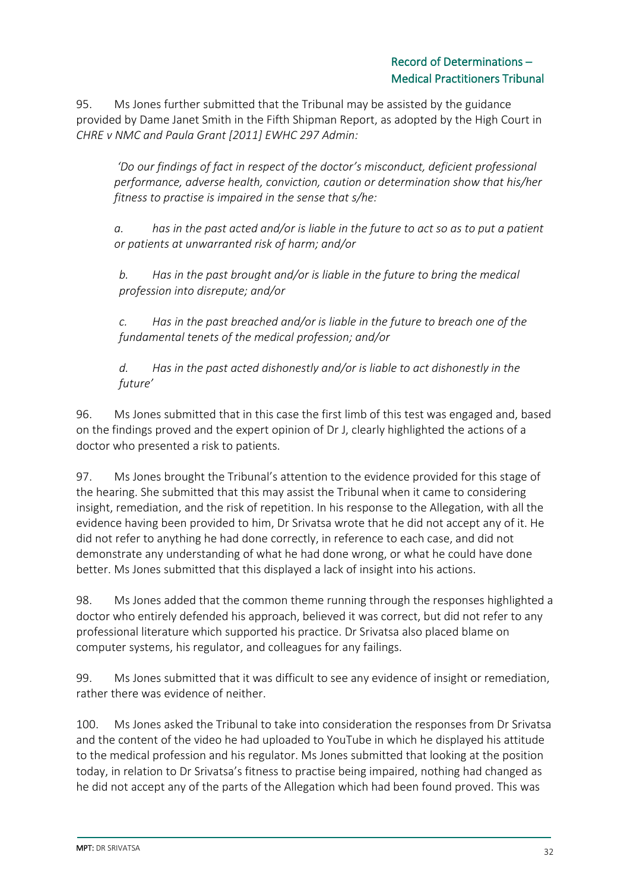95. Ms Jones further submitted that the Tribunal may be assisted by the guidance provided by Dame Janet Smith in the Fifth Shipman Report, as adopted by the High Court in *CHRE v NMC and Paula Grant [2011] EWHC 297 Admin:*

*'Do our findings of fact in respect of the doctor's misconduct, deficient professional performance, adverse health, conviction, caution or determination show that his/her fitness to practise is impaired in the sense that s/he:*

*a. has in the past acted and/or is liable in the future to act so as to put a patient or patients at unwarranted risk of harm; and/or*

*b. Has in the past brought and/or is liable in the future to bring the medical profession into disrepute; and/or*

*c. Has in the past breached and/or is liable in the future to breach one of the fundamental tenets of the medical profession; and/or*

*d. Has in the past acted dishonestly and/or is liable to act dishonestly in the future'*

96. Ms Jones submitted that in this case the first limb of this test was engaged and, based on the findings proved and the expert opinion of Dr J, clearly highlighted the actions of a doctor who presented a risk to patients.

97. Ms Jones brought the Tribunal's attention to the evidence provided for this stage of the hearing. She submitted that this may assist the Tribunal when it came to considering insight, remediation, and the risk of repetition. In his response to the Allegation, with all the evidence having been provided to him, Dr Srivatsa wrote that he did not accept any of it. He did not refer to anything he had done correctly, in reference to each case, and did not demonstrate any understanding of what he had done wrong, or what he could have done better. Ms Jones submitted that this displayed a lack of insight into his actions.

98. Ms Jones added that the common theme running through the responses highlighted a doctor who entirely defended his approach, believed it was correct, but did not refer to any professional literature which supported his practice. Dr Srivatsa also placed blame on computer systems, his regulator, and colleagues for any failings.

99. Ms Jones submitted that it was difficult to see any evidence of insight or remediation, rather there was evidence of neither.

100. Ms Jones asked the Tribunal to take into consideration the responses from Dr Srivatsa and the content of the video he had uploaded to YouTube in which he displayed his attitude to the medical profession and his regulator. Ms Jones submitted that looking at the position today, in relation to Dr Srivatsa's fitness to practise being impaired, nothing had changed as he did not accept any of the parts of the Allegation which had been found proved. This was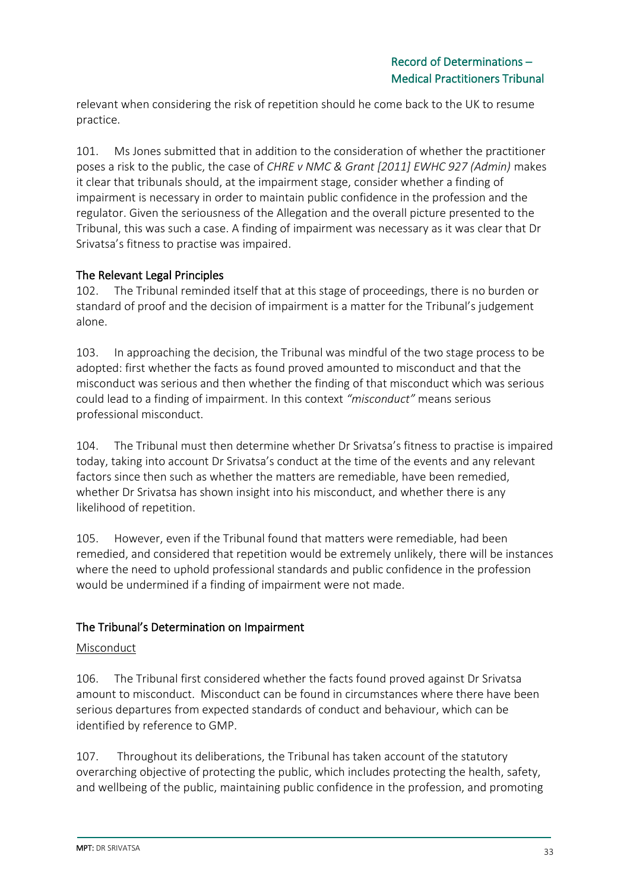relevant when considering the risk of repetition should he come back to the UK to resume practice.

101. Ms Jones submitted that in addition to the consideration of whether the practitioner poses a risk to the public, the case of *CHRE v NMC & Grant [2011] EWHC 927 (Admin)* makes it clear that tribunals should, at the impairment stage, consider whether a finding of impairment is necessary in order to maintain public confidence in the profession and the regulator. Given the seriousness of the Allegation and the overall picture presented to the Tribunal, this was such a case. A finding of impairment was necessary as it was clear that Dr Srivatsa's fitness to practise was impaired.

# The Relevant Legal Principles

102. The Tribunal reminded itself that at this stage of proceedings, there is no burden or standard of proof and the decision of impairment is a matter for the Tribunal's judgement alone.

103. In approaching the decision, the Tribunal was mindful of the two stage process to be adopted: first whether the facts as found proved amounted to misconduct and that the misconduct was serious and then whether the finding of that misconduct which was serious could lead to a finding of impairment. In this context *"misconduct"* means serious professional misconduct.

104. The Tribunal must then determine whether Dr Srivatsa's fitness to practise is impaired today, taking into account Dr Srivatsa's conduct at the time of the events and any relevant factors since then such as whether the matters are remediable, have been remedied, whether Dr Srivatsa has shown insight into his misconduct, and whether there is any likelihood of repetition.

105. However, even if the Tribunal found that matters were remediable, had been remedied, and considered that repetition would be extremely unlikely, there will be instances where the need to uphold professional standards and public confidence in the profession would be undermined if a finding of impairment were not made.

# The Tribunal's Determination on Impairment

#### Misconduct

106. The Tribunal first considered whether the facts found proved against Dr Srivatsa amount to misconduct. Misconduct can be found in circumstances where there have been serious departures from expected standards of conduct and behaviour, which can be identified by reference to GMP.

107. Throughout its deliberations, the Tribunal has taken account of the statutory overarching objective of protecting the public, which includes protecting the health, safety, and wellbeing of the public, maintaining public confidence in the profession, and promoting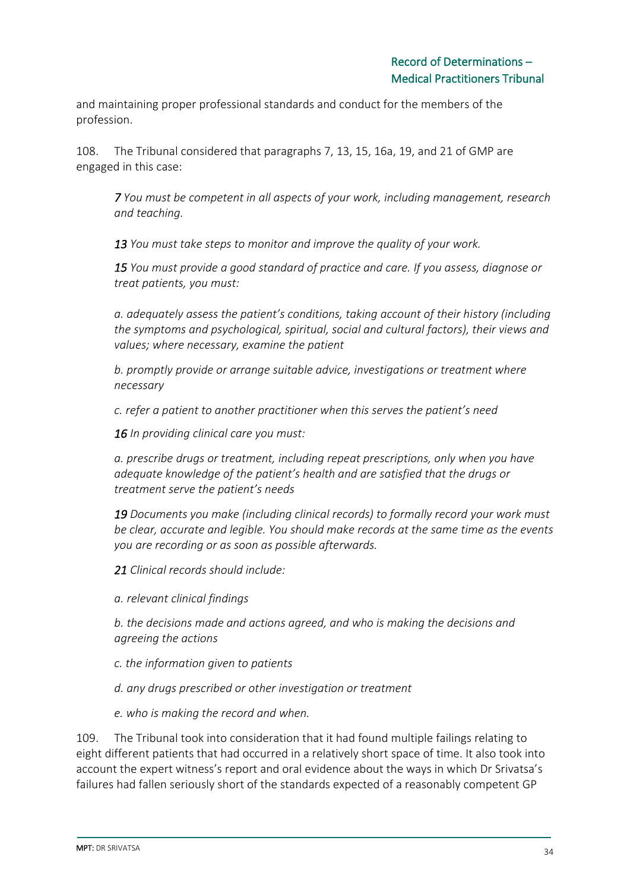and maintaining proper professional standards and conduct for the members of the profession.

108. The Tribunal considered that paragraphs 7, 13, 15, 16a, 19, and 21 of GMP are engaged in this case:

*7 You must be competent in all aspects of your work, including management, research and teaching.*

*13 You must take steps to monitor and improve the quality of your work.* 

*15 You must provide a good standard of practice and care. If you assess, diagnose or treat patients, you must:*

*a. adequately assess the patient's conditions, taking account of their history (including the symptoms and psychological, spiritual, social and cultural factors), their views and values; where necessary, examine the patient*

*b. promptly provide or arrange suitable advice, investigations or treatment where necessary*

*c. refer a patient to another practitioner when this serves the patient's need*

*16 In providing clinical care you must:*

*a. prescribe drugs or treatment, including repeat prescriptions, only when you have adequate knowledge of the patient's health and are satisfied that the drugs or treatment serve the patient's needs*

*19 Documents you make (including clinical records) to formally record your work must be clear, accurate and legible. You should make records at the same time as the events you are recording or as soon as possible afterwards.* 

*21 Clinical records should include:*

*a. relevant clinical findings* 

*b. the decisions made and actions agreed, and who is making the decisions and agreeing the actions* 

*c. the information given to patients* 

*d. any drugs prescribed or other investigation or treatment* 

*e. who is making the record and when.*

109. The Tribunal took into consideration that it had found multiple failings relating to eight different patients that had occurred in a relatively short space of time. It also took into account the expert witness's report and oral evidence about the ways in which Dr Srivatsa's failures had fallen seriously short of the standards expected of a reasonably competent GP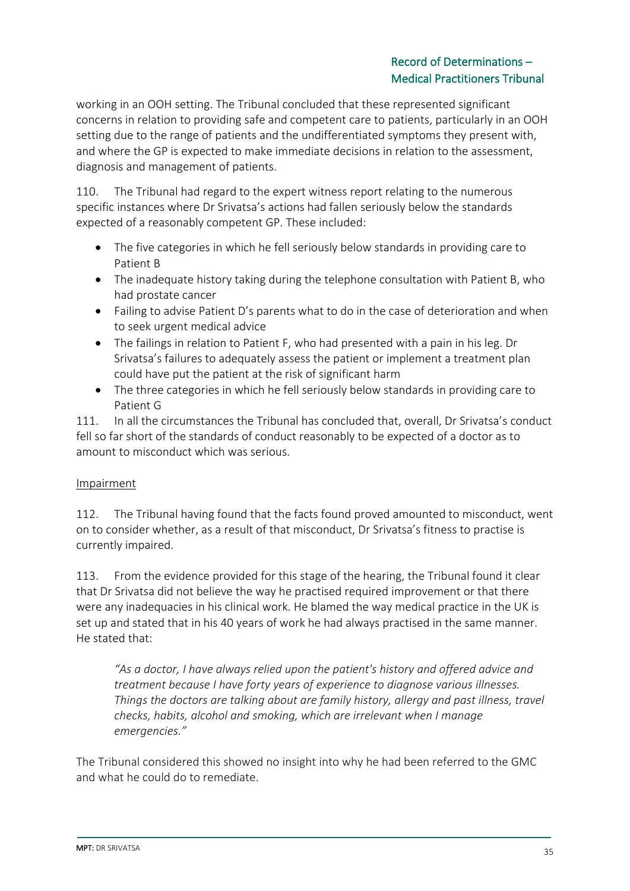working in an OOH setting. The Tribunal concluded that these represented significant concerns in relation to providing safe and competent care to patients, particularly in an OOH setting due to the range of patients and the undifferentiated symptoms they present with, and where the GP is expected to make immediate decisions in relation to the assessment, diagnosis and management of patients.

110. The Tribunal had regard to the expert witness report relating to the numerous specific instances where Dr Srivatsa's actions had fallen seriously below the standards expected of a reasonably competent GP. These included:

- The five categories in which he fell seriously below standards in providing care to Patient B
- The inadequate history taking during the telephone consultation with Patient B, who had prostate cancer
- Failing to advise Patient D's parents what to do in the case of deterioration and when to seek urgent medical advice
- The failings in relation to Patient F, who had presented with a pain in his leg. Dr Srivatsa's failures to adequately assess the patient or implement a treatment plan could have put the patient at the risk of significant harm
- The three categories in which he fell seriously below standards in providing care to Patient G

111. In all the circumstances the Tribunal has concluded that, overall, Dr Srivatsa's conduct fell so far short of the standards of conduct reasonably to be expected of a doctor as to amount to misconduct which was serious.

# Impairment

112. The Tribunal having found that the facts found proved amounted to misconduct, went on to consider whether, as a result of that misconduct, Dr Srivatsa's fitness to practise is currently impaired.

113. From the evidence provided for this stage of the hearing, the Tribunal found it clear that Dr Srivatsa did not believe the way he practised required improvement or that there were any inadequacies in his clinical work. He blamed the way medical practice in the UK is set up and stated that in his 40 years of work he had always practised in the same manner. He stated that:

*"As a doctor, I have always relied upon the patient's history and offered advice and treatment because I have forty years of experience to diagnose various illnesses. Things the doctors are talking about are family history, allergy and past illness, travel checks, habits, alcohol and smoking, which are irrelevant when I manage emergencies."*

The Tribunal considered this showed no insight into why he had been referred to the GMC and what he could do to remediate.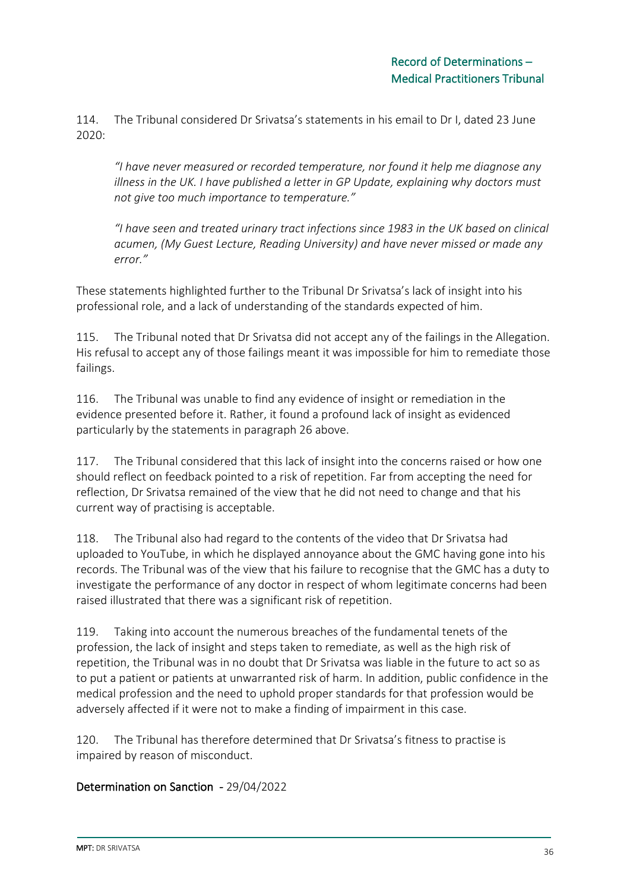114. The Tribunal considered Dr Srivatsa's statements in his email to Dr I, dated 23 June 2020:

*"I have never measured or recorded temperature, nor found it help me diagnose any illness in the UK. I have published a letter in GP Update, explaining why doctors must not give too much importance to temperature."*

*"I have seen and treated urinary tract infections since 1983 in the UK based on clinical acumen, (My Guest Lecture, Reading University) and have never missed or made any error."*

These statements highlighted further to the Tribunal Dr Srivatsa's lack of insight into his professional role, and a lack of understanding of the standards expected of him.

115. The Tribunal noted that Dr Srivatsa did not accept any of the failings in the Allegation. His refusal to accept any of those failings meant it was impossible for him to remediate those failings.

116. The Tribunal was unable to find any evidence of insight or remediation in the evidence presented before it. Rather, it found a profound lack of insight as evidenced particularly by the statements in paragraph 26 above.

117. The Tribunal considered that this lack of insight into the concerns raised or how one should reflect on feedback pointed to a risk of repetition. Far from accepting the need for reflection, Dr Srivatsa remained of the view that he did not need to change and that his current way of practising is acceptable.

118. The Tribunal also had regard to the contents of the video that Dr Srivatsa had uploaded to YouTube, in which he displayed annoyance about the GMC having gone into his records. The Tribunal was of the view that his failure to recognise that the GMC has a duty to investigate the performance of any doctor in respect of whom legitimate concerns had been raised illustrated that there was a significant risk of repetition.

119. Taking into account the numerous breaches of the fundamental tenets of the profession, the lack of insight and steps taken to remediate, as well as the high risk of repetition, the Tribunal was in no doubt that Dr Srivatsa was liable in the future to act so as to put a patient or patients at unwarranted risk of harm. In addition, public confidence in the medical profession and the need to uphold proper standards for that profession would be adversely affected if it were not to make a finding of impairment in this case.

120. The Tribunal has therefore determined that Dr Srivatsa's fitness to practise is impaired by reason of misconduct.

# Determination on Sanction - 29/04/2022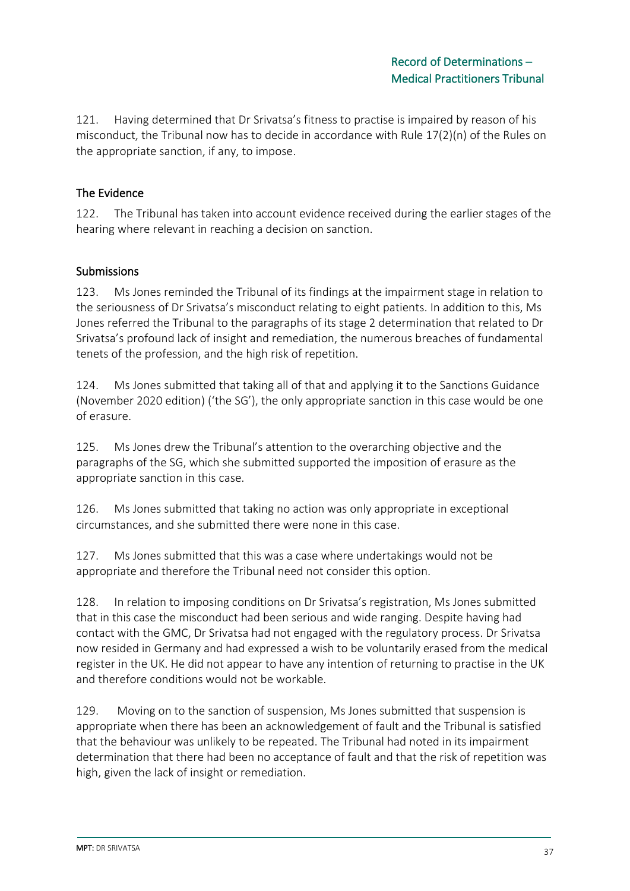121. Having determined that Dr Srivatsa's fitness to practise is impaired by reason of his misconduct, the Tribunal now has to decide in accordance with Rule 17(2)(n) of the Rules on the appropriate sanction, if any, to impose.

# The Evidence

122. The Tribunal has taken into account evidence received during the earlier stages of the hearing where relevant in reaching a decision on sanction.

# Submissions

123. Ms Jones reminded the Tribunal of its findings at the impairment stage in relation to the seriousness of Dr Srivatsa's misconduct relating to eight patients. In addition to this, Ms Jones referred the Tribunal to the paragraphs of its stage 2 determination that related to Dr Srivatsa's profound lack of insight and remediation, the numerous breaches of fundamental tenets of the profession, and the high risk of repetition.

124. Ms Jones submitted that taking all of that and applying it to the Sanctions Guidance (November 2020 edition) ('the SG'), the only appropriate sanction in this case would be one of erasure.

125. Ms Jones drew the Tribunal's attention to the overarching objective and the paragraphs of the SG, which she submitted supported the imposition of erasure as the appropriate sanction in this case.

126. Ms Jones submitted that taking no action was only appropriate in exceptional circumstances, and she submitted there were none in this case.

127. Ms Jones submitted that this was a case where undertakings would not be appropriate and therefore the Tribunal need not consider this option.

128. In relation to imposing conditions on Dr Srivatsa's registration, Ms Jones submitted that in this case the misconduct had been serious and wide ranging. Despite having had contact with the GMC, Dr Srivatsa had not engaged with the regulatory process. Dr Srivatsa now resided in Germany and had expressed a wish to be voluntarily erased from the medical register in the UK. He did not appear to have any intention of returning to practise in the UK and therefore conditions would not be workable.

129. Moving on to the sanction of suspension, Ms Jones submitted that suspension is appropriate when there has been an acknowledgement of fault and the Tribunal is satisfied that the behaviour was unlikely to be repeated. The Tribunal had noted in its impairment determination that there had been no acceptance of fault and that the risk of repetition was high, given the lack of insight or remediation.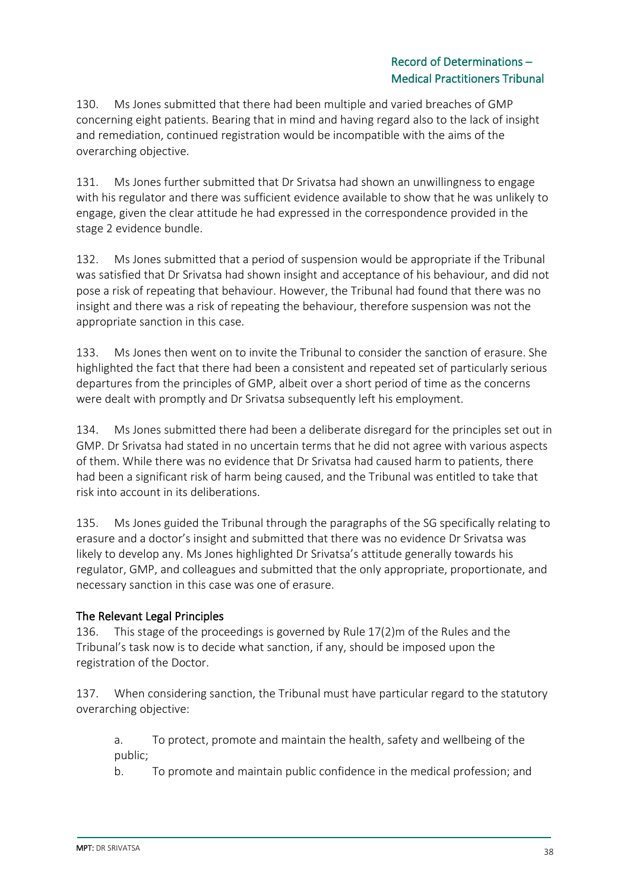130. Ms Jones submitted that there had been multiple and varied breaches of GMP concerning eight patients. Bearing that in mind and having regard also to the lack of insight and remediation, continued registration would be incompatible with the aims of the overarching objective.

131. Ms Jones further submitted that Dr Srivatsa had shown an unwillingness to engage with his regulator and there was sufficient evidence available to show that he was unlikely to engage, given the clear attitude he had expressed in the correspondence provided in the stage 2 evidence bundle.

132. Ms Jones submitted that a period of suspension would be appropriate if the Tribunal was satisfied that Dr Srivatsa had shown insight and acceptance of his behaviour, and did not pose a risk of repeating that behaviour. However, the Tribunal had found that there was no insight and there was a risk of repeating the behaviour, therefore suspension was not the appropriate sanction in this case.

133. Ms Jones then went on to invite the Tribunal to consider the sanction of erasure. She highlighted the fact that there had been a consistent and repeated set of particularly serious departures from the principles of GMP, albeit over a short period of time as the concerns were dealt with promptly and Dr Srivatsa subsequently left his employment.

134. Ms Jones submitted there had been a deliberate disregard for the principles set out in GMP. Dr Srivatsa had stated in no uncertain terms that he did not agree with various aspects of them. While there was no evidence that Dr Srivatsa had caused harm to patients, there had been a significant risk of harm being caused, and the Tribunal was entitled to take that risk into account in its deliberations.

135. Ms Jones guided the Tribunal through the paragraphs of the SG specifically relating to erasure and a doctor's insight and submitted that there was no evidence Dr Srivatsa was likely to develop any. Ms Jones highlighted Dr Srivatsa's attitude generally towards his regulator, GMP, and colleagues and submitted that the only appropriate, proportionate, and necessary sanction in this case was one of erasure.

# The Relevant Legal Principles

136. This stage of the proceedings is governed by Rule 17(2)m of the Rules and the Tribunal's task now is to decide what sanction, if any, should be imposed upon the registration of the Doctor.

137. When considering sanction, the Tribunal must have particular regard to the statutory overarching objective:

a. To protect, promote and maintain the health, safety and wellbeing of the public;

b. To promote and maintain public confidence in the medical profession; and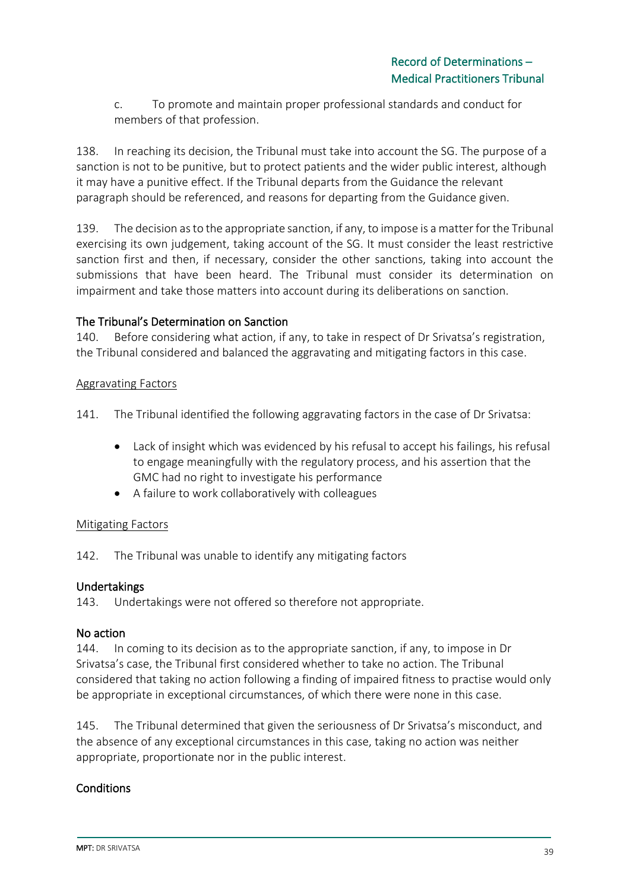c. To promote and maintain proper professional standards and conduct for members of that profession.

138. In reaching its decision, the Tribunal must take into account the SG. The purpose of a sanction is not to be punitive, but to protect patients and the wider public interest, although it may have a punitive effect. If the Tribunal departs from the Guidance the relevant paragraph should be referenced, and reasons for departing from the Guidance given.

139. The decision as to the appropriate sanction, if any, to impose is a matter for the Tribunal exercising its own judgement, taking account of the SG. It must consider the least restrictive sanction first and then, if necessary, consider the other sanctions, taking into account the submissions that have been heard. The Tribunal must consider its determination on impairment and take those matters into account during its deliberations on sanction.

#### The Tribunal's Determination on Sanction

140. Before considering what action, if any, to take in respect of Dr Srivatsa's registration, the Tribunal considered and balanced the aggravating and mitigating factors in this case.

#### Aggravating Factors

141. The Tribunal identified the following aggravating factors in the case of Dr Srivatsa:

- Lack of insight which was evidenced by his refusal to accept his failings, his refusal to engage meaningfully with the regulatory process, and his assertion that the GMC had no right to investigate his performance
- A failure to work collaboratively with colleagues

# Mitigating Factors

142. The Tribunal was unable to identify any mitigating factors

# Undertakings

143. Undertakings were not offered so therefore not appropriate.

#### No action

144. In coming to its decision as to the appropriate sanction, if any, to impose in Dr Srivatsa's case, the Tribunal first considered whether to take no action. The Tribunal considered that taking no action following a finding of impaired fitness to practise would only be appropriate in exceptional circumstances, of which there were none in this case.

145. The Tribunal determined that given the seriousness of Dr Srivatsa's misconduct, and the absence of any exceptional circumstances in this case, taking no action was neither appropriate, proportionate nor in the public interest.

# **Conditions**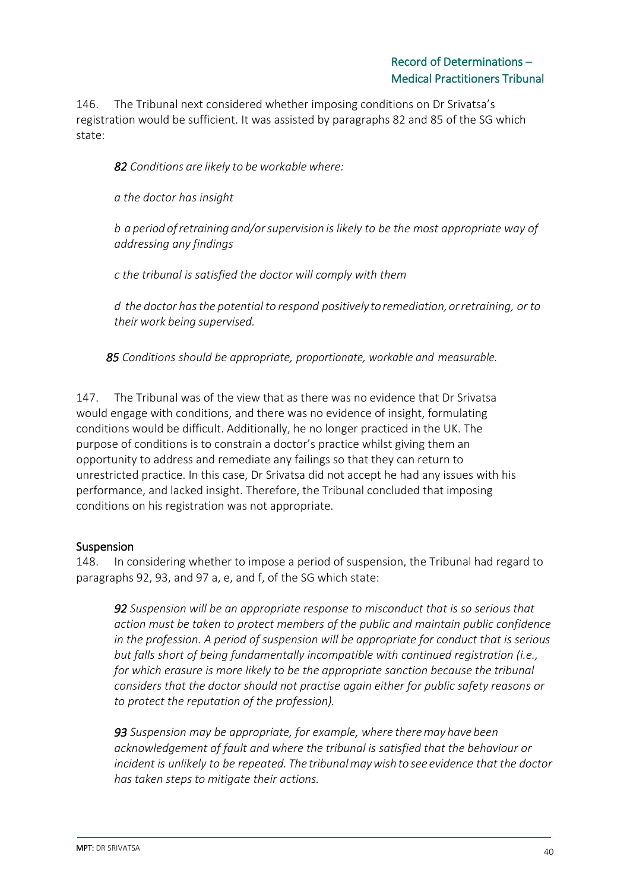146. The Tribunal next considered whether imposing conditions on Dr Srivatsa's registration would be sufficient. It was assisted by paragraphs 82 and 85 of the SG which state:

 *82 Conditions are likely to be workable where:*

*a the doctor has insight*

*b a period ofretraining and/orsupervision is likely to be the most appropriate way of addressing any findings*

*c the tribunal is satisfied the doctor will comply with them*

*d the doctor hasthe potential to respond positivelytoremediation,orretraining, or to their work being supervised.* 

 *85 Conditions should be appropriate, proportionate, workable and measurable.*

147. The Tribunal was of the view that as there was no evidence that Dr Srivatsa would engage with conditions, and there was no evidence of insight, formulating conditions would be difficult. Additionally, he no longer practiced in the UK. The purpose of conditions is to constrain a doctor's practice whilst giving them an opportunity to address and remediate any failings so that they can return to unrestricted practice. In this case, Dr Srivatsa did not accept he had any issues with his performance, and lacked insight. Therefore, the Tribunal concluded that imposing conditions on his registration was not appropriate.

# **Suspension**

148. In considering whether to impose a period of suspension, the Tribunal had regard to paragraphs 92, 93, and 97 a, e, and f, of the SG which state:

*92 Suspension will be an appropriate response to misconduct that is so serious that action must be taken to protect members of the public and maintain public confidence in the profession. A period of suspension will be appropriate for conduct that is serious but falls short of being fundamentally incompatible with continued registration (i.e., for which erasure is more likely to be the appropriate sanction because the tribunal considers that the doctor should not practise again either for public safety reasons or to protect the reputation of the profession).*

*93 Suspension may be appropriate, for example, where theremay have been acknowledgement of fault and where the tribunal is satisfied that the behaviour or incident is unlikely to be repeated. The tribunalmaywish to see evidence that the doctor has taken steps to mitigate their actions.*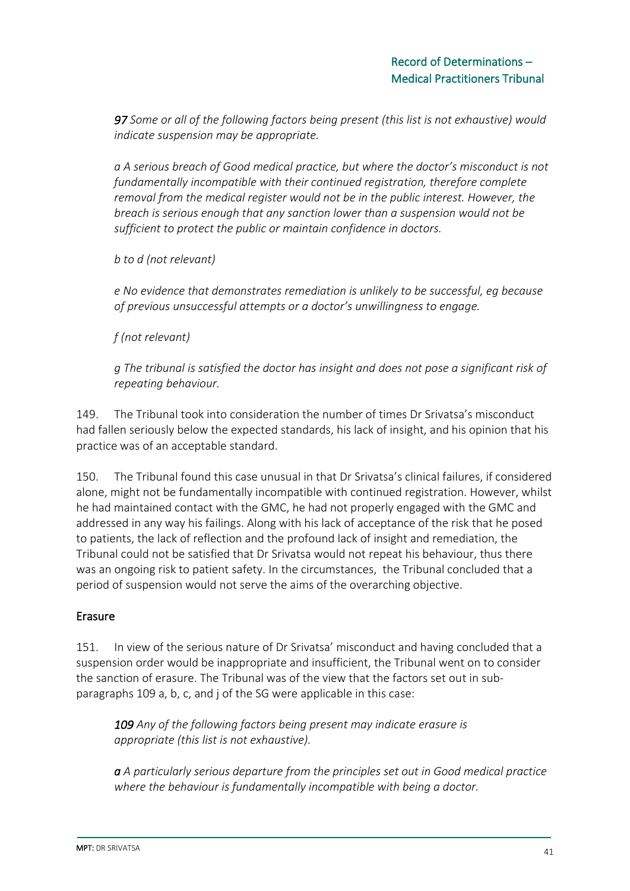*97 Some or all of the following factors being present (this list is not exhaustive) would indicate suspension may be appropriate.*

*a A serious breach of Good medical practice, but where the doctor's misconduct is not fundamentally incompatible with their continued registration, therefore complete removal from the medical register would not be in the public interest. However, the breach is serious enough that any sanction lower than a suspension would not be sufficient to protect the public or maintain confidence in doctors.*

*b to d (not relevant)*

*e No evidence that demonstrates remediation is unlikely to be successful, eg because of previous unsuccessful attempts or a doctor's unwillingness to engage.*

*f (not relevant)*

*g The tribunal is satisfied the doctor has insight and does not pose a significant risk of repeating behaviour.*

149. The Tribunal took into consideration the number of times Dr Srivatsa's misconduct had fallen seriously below the expected standards, his lack of insight, and his opinion that his practice was of an acceptable standard.

150. The Tribunal found this case unusual in that Dr Srivatsa's clinical failures, if considered alone, might not be fundamentally incompatible with continued registration. However, whilst he had maintained contact with the GMC, he had not properly engaged with the GMC and addressed in any way his failings. Along with his lack of acceptance of the risk that he posed to patients, the lack of reflection and the profound lack of insight and remediation, the Tribunal could not be satisfied that Dr Srivatsa would not repeat his behaviour, thus there was an ongoing risk to patient safety. In the circumstances, the Tribunal concluded that a period of suspension would not serve the aims of the overarching objective.

# Erasure

151. In view of the serious nature of Dr Srivatsa' misconduct and having concluded that a suspension order would be inappropriate and insufficient, the Tribunal went on to consider the sanction of erasure. The Tribunal was of the view that the factors set out in subparagraphs 109 a, b, c, and j of the SG were applicable in this case:

*109 Any of the following factors being present may indicate erasure is appropriate (this list is not exhaustive).*

*a A particularly serious departure from the principles set out in Good medical practice where the behaviour is fundamentally incompatible with being a doctor.*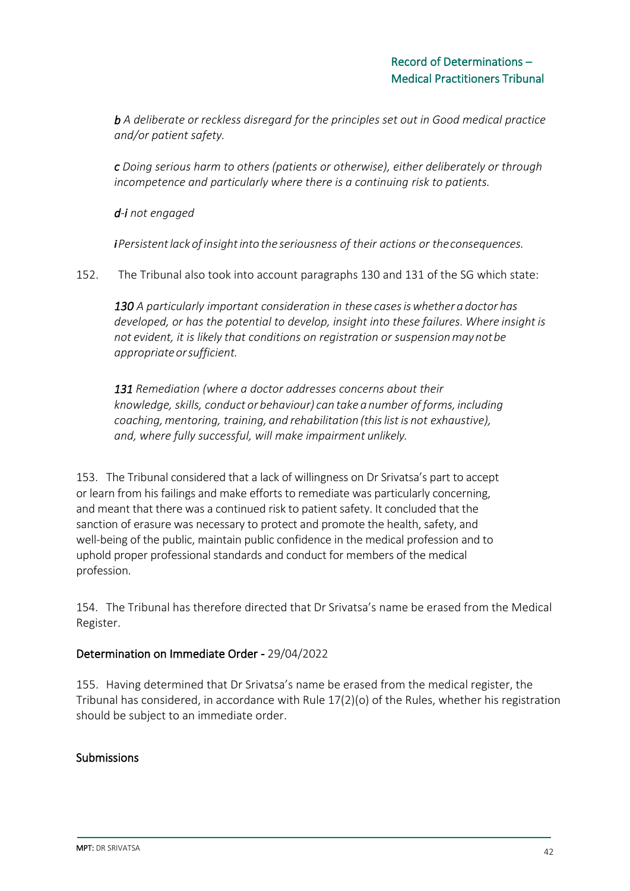*b A deliberate or reckless disregard for the principles set out in Good medical practice and/or patient safety.*

*c Doing serious harm to others (patients or otherwise), either deliberately or through incompetence and particularly where there is a continuing risk to patients.*

*d-i not engaged*

*iPersistent lack of insight into the seriousness of their actions or the consequences.* 

152. The Tribunal also took into account paragraphs 130 and 131 of the SG which state:

*130 A particularly important consideration in these casesiswhether a doctor has developed, or has the potential to develop, insight into these failures. Where insight is not evident, it is likely that conditions on registration or suspensionmaynotbe appropriateorsufficient.*

*131 Remediation (where a doctor addresses concerns about their knowledge, skills, conduct or behaviour) can take a number of forms, including coaching,mentoring, training, and rehabilitation (thislistis not exhaustive), and, where fully successful, will make impairment unlikely.*

153. The Tribunal considered that a lack of willingness on Dr Srivatsa's part to accept or learn from his failings and make efforts to remediate was particularly concerning, and meant that there was a continued risk to patient safety. It concluded that the sanction of erasure was necessary to protect and promote the health, safety, and well-being of the public, maintain public confidence in the medical profession and to uphold proper professional standards and conduct for members of the medical profession.

154. The Tribunal has therefore directed that Dr Srivatsa's name be erased from the Medical Register.

# Determination on Immediate Order - 29/04/2022

155. Having determined that Dr Srivatsa's name be erased from the medical register, the Tribunal has considered, in accordance with Rule 17(2)(o) of the Rules, whether his registration should be subject to an immediate order.

# Submissions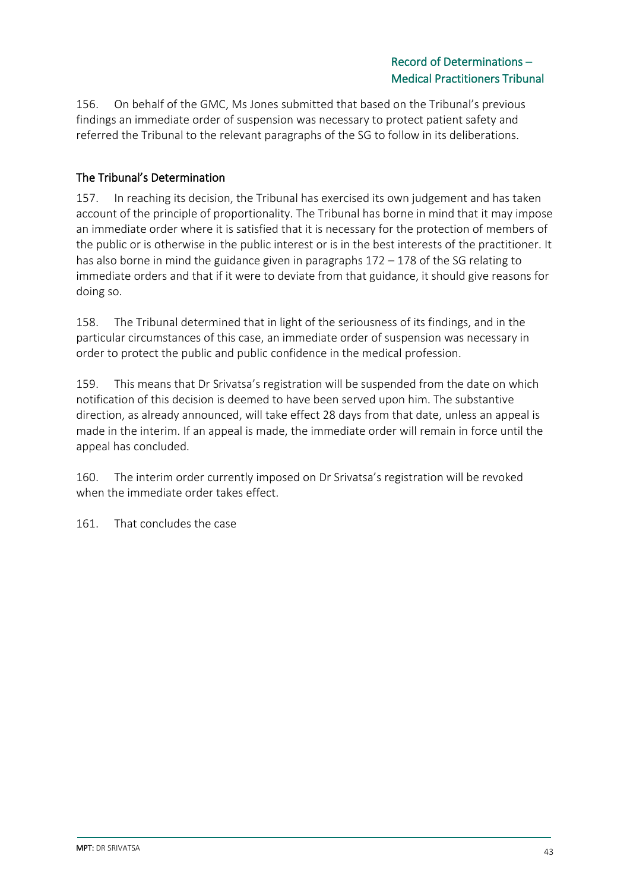156. On behalf of the GMC, Ms Jones submitted that based on the Tribunal's previous findings an immediate order of suspension was necessary to protect patient safety and referred the Tribunal to the relevant paragraphs of the SG to follow in its deliberations.

# The Tribunal's Determination

157. In reaching its decision, the Tribunal has exercised its own judgement and has taken account of the principle of proportionality. The Tribunal has borne in mind that it may impose an immediate order where it is satisfied that it is necessary for the protection of members of the public or is otherwise in the public interest or is in the best interests of the practitioner. It has also borne in mind the guidance given in paragraphs 172 – 178 of the SG relating to immediate orders and that if it were to deviate from that guidance, it should give reasons for doing so.

158. The Tribunal determined that in light of the seriousness of its findings, and in the particular circumstances of this case, an immediate order of suspension was necessary in order to protect the public and public confidence in the medical profession.

159. This means that Dr Srivatsa's registration will be suspended from the date on which notification of this decision is deemed to have been served upon him. The substantive direction, as already announced, will take effect 28 days from that date, unless an appeal is made in the interim. If an appeal is made, the immediate order will remain in force until the appeal has concluded.

160. The interim order currently imposed on Dr Srivatsa's registration will be revoked when the immediate order takes effect.

161. That concludes the case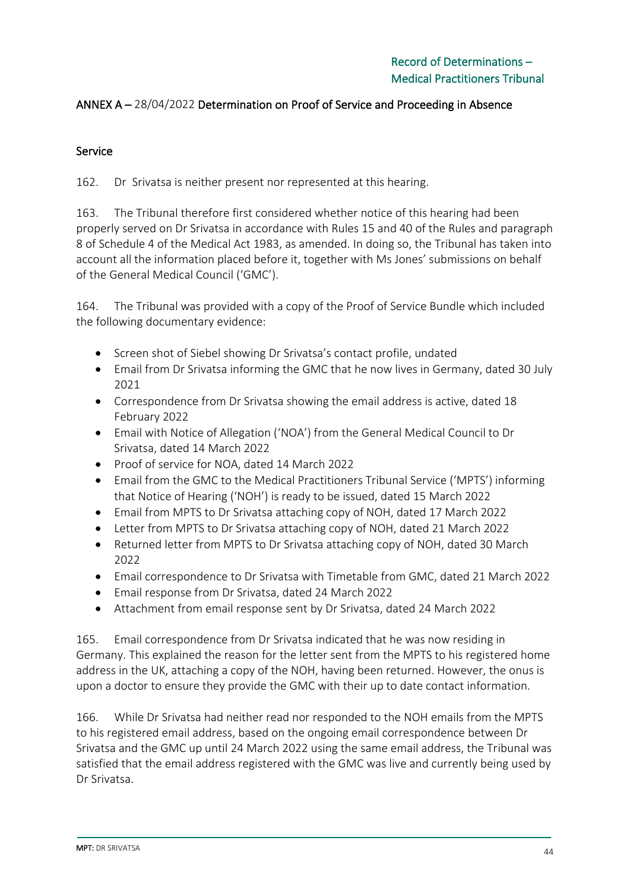# ANNEX A – 28/04/2022 Determination on Proof of Service and Proceeding in Absence

#### Service

162. Dr Srivatsa is neither present nor represented at this hearing.

163. The Tribunal therefore first considered whether notice of this hearing had been properly served on Dr Srivatsa in accordance with Rules 15 and 40 of the Rules and paragraph 8 of Schedule 4 of the Medical Act 1983, as amended. In doing so, the Tribunal has taken into account all the information placed before it, together with Ms Jones' submissions on behalf of the General Medical Council ('GMC').

164. The Tribunal was provided with a copy of the Proof of Service Bundle which included the following documentary evidence:

- Screen shot of Siebel showing Dr Srivatsa's contact profile, undated
- Email from Dr Srivatsa informing the GMC that he now lives in Germany, dated 30 July 2021
- Correspondence from Dr Srivatsa showing the email address is active, dated 18 February 2022
- Email with Notice of Allegation ('NOA') from the General Medical Council to Dr Srivatsa, dated 14 March 2022
- Proof of service for NOA, dated 14 March 2022
- Email from the GMC to the Medical Practitioners Tribunal Service ('MPTS') informing that Notice of Hearing ('NOH') is ready to be issued, dated 15 March 2022
- Email from MPTS to Dr Srivatsa attaching copy of NOH, dated 17 March 2022
- Letter from MPTS to Dr Srivatsa attaching copy of NOH, dated 21 March 2022
- Returned letter from MPTS to Dr Srivatsa attaching copy of NOH, dated 30 March 2022
- Email correspondence to Dr Srivatsa with Timetable from GMC, dated 21 March 2022
- Email response from Dr Srivatsa, dated 24 March 2022
- Attachment from email response sent by Dr Srivatsa, dated 24 March 2022

165. Email correspondence from Dr Srivatsa indicated that he was now residing in Germany. This explained the reason for the letter sent from the MPTS to his registered home address in the UK, attaching a copy of the NOH, having been returned. However, the onus is upon a doctor to ensure they provide the GMC with their up to date contact information.

166. While Dr Srivatsa had neither read nor responded to the NOH emails from the MPTS to his registered email address, based on the ongoing email correspondence between Dr Srivatsa and the GMC up until 24 March 2022 using the same email address, the Tribunal was satisfied that the email address registered with the GMC was live and currently being used by Dr Srivatsa.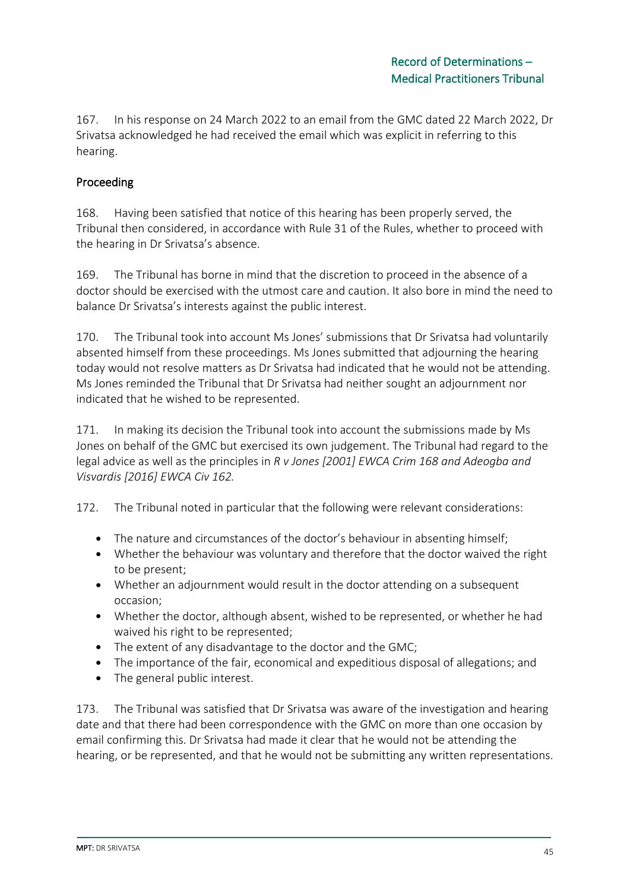167. In his response on 24 March 2022 to an email from the GMC dated 22 March 2022, Dr Srivatsa acknowledged he had received the email which was explicit in referring to this hearing.

# Proceeding

168. Having been satisfied that notice of this hearing has been properly served, the Tribunal then considered, in accordance with Rule 31 of the Rules, whether to proceed with the hearing in Dr Srivatsa's absence.

169. The Tribunal has borne in mind that the discretion to proceed in the absence of a doctor should be exercised with the utmost care and caution. It also bore in mind the need to balance Dr Srivatsa's interests against the public interest.

170. The Tribunal took into account Ms Jones' submissions that Dr Srivatsa had voluntarily absented himself from these proceedings. Ms Jones submitted that adjourning the hearing today would not resolve matters as Dr Srivatsa had indicated that he would not be attending. Ms Jones reminded the Tribunal that Dr Srivatsa had neither sought an adjournment nor indicated that he wished to be represented.

171. In making its decision the Tribunal took into account the submissions made by Ms Jones on behalf of the GMC but exercised its own judgement. The Tribunal had regard to the legal advice as well as the principles in *R v Jones [2001] EWCA Crim 168 and Adeogba and Visvardis [2016] EWCA Civ 162.*

172. The Tribunal noted in particular that the following were relevant considerations:

- The nature and circumstances of the doctor's behaviour in absenting himself;
- Whether the behaviour was voluntary and therefore that the doctor waived the right to be present;
- Whether an adjournment would result in the doctor attending on a subsequent occasion;
- Whether the doctor, although absent, wished to be represented, or whether he had waived his right to be represented;
- The extent of any disadvantage to the doctor and the GMC;
- The importance of the fair, economical and expeditious disposal of allegations; and
- The general public interest.

173. The Tribunal was satisfied that Dr Srivatsa was aware of the investigation and hearing date and that there had been correspondence with the GMC on more than one occasion by email confirming this. Dr Srivatsa had made it clear that he would not be attending the hearing, or be represented, and that he would not be submitting any written representations.